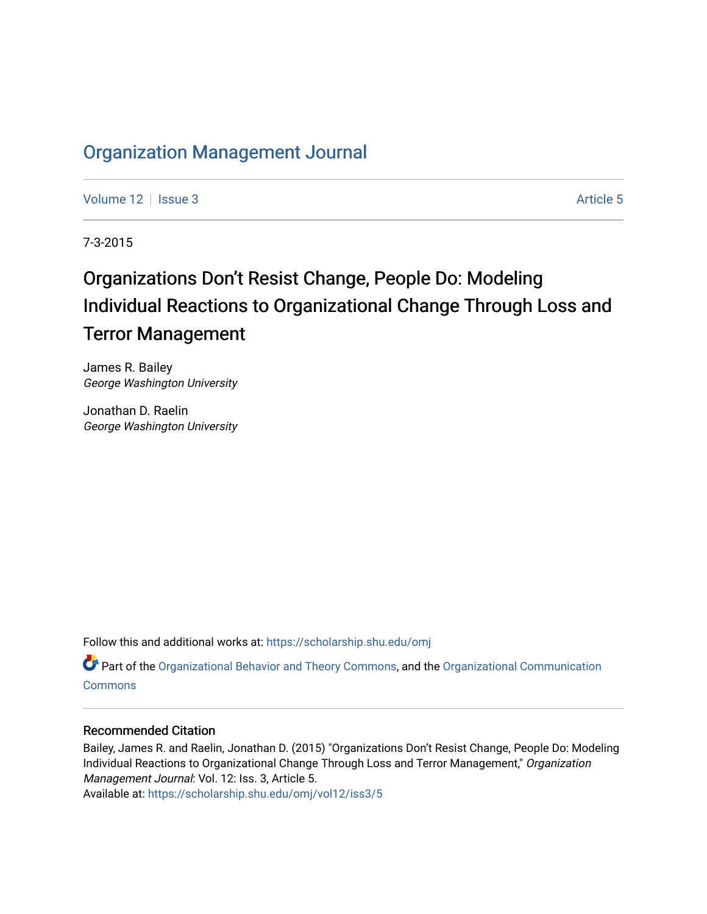# [Organization Management Journal](https://scholarship.shu.edu/omj)

[Volume 12](https://scholarship.shu.edu/omj/vol12) Setus 3 [Article 5](https://scholarship.shu.edu/omj/vol12/iss3/5) Article 5 Article 5 Article 5

7-3-2015

# Organizations Don't Resist Change, People Do: Modeling Individual Reactions to Organizational Change Through Loss and Terror Management

James R. Bailey George Washington University

Jonathan D. Raelin George Washington University

Follow this and additional works at: [https://scholarship.shu.edu/omj](https://scholarship.shu.edu/omj?utm_source=scholarship.shu.edu%2Fomj%2Fvol12%2Fiss3%2F5&utm_medium=PDF&utm_campaign=PDFCoverPages) 

Part of the [Organizational Behavior and Theory Commons,](http://network.bepress.com/hgg/discipline/639?utm_source=scholarship.shu.edu%2Fomj%2Fvol12%2Fiss3%2F5&utm_medium=PDF&utm_campaign=PDFCoverPages) and the [Organizational Communication](http://network.bepress.com/hgg/discipline/335?utm_source=scholarship.shu.edu%2Fomj%2Fvol12%2Fiss3%2F5&utm_medium=PDF&utm_campaign=PDFCoverPages) [Commons](http://network.bepress.com/hgg/discipline/335?utm_source=scholarship.shu.edu%2Fomj%2Fvol12%2Fiss3%2F5&utm_medium=PDF&utm_campaign=PDFCoverPages)

# Recommended Citation

Bailey, James R. and Raelin, Jonathan D. (2015) "Organizations Don't Resist Change, People Do: Modeling Individual Reactions to Organizational Change Through Loss and Terror Management," Organization Management Journal: Vol. 12: Iss. 3, Article 5.

Available at: [https://scholarship.shu.edu/omj/vol12/iss3/5](https://scholarship.shu.edu/omj/vol12/iss3/5?utm_source=scholarship.shu.edu%2Fomj%2Fvol12%2Fiss3%2F5&utm_medium=PDF&utm_campaign=PDFCoverPages)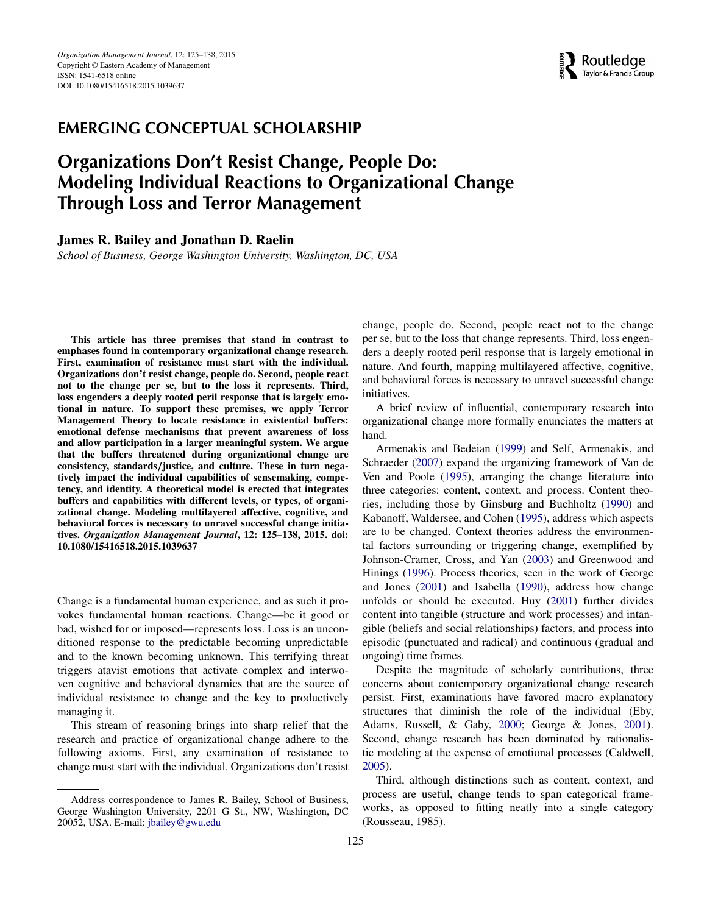# **EMERGING CONCEPTUAL SCHOLARSHIP**

# **Organizations Don't Resist Change, People Do: Modeling Individual Reactions to Organizational Change Through Loss and Terror Management**

# **James R. Bailey and Jonathan D. Raelin**

*School of Business, George Washington University, Washington, DC, USA*

**This article has three premises that stand in contrast to emphases found in contemporary organizational change research. First, examination of resistance must start with the individual. Organizations don't resist change, people do. Second, people react not to the change per se, but to the loss it represents. Third, loss engenders a deeply rooted peril response that is largely emotional in nature. To support these premises, we apply Terror Management Theory to locate resistance in existential buffers: emotional defense mechanisms that prevent awareness of loss and allow participation in a larger meaningful system. We argue that the buffers threatened during organizational change are consistency, standards***/***justice, and culture. These in turn negatively impact the individual capabilities of sensemaking, competency, and identity. A theoretical model is erected that integrates buffers and capabilities with different levels, or types, of organizational change. Modeling multilayered affective, cognitive, and behavioral forces is necessary to unravel successful change initiatives.** *Organization Management Journal***, 12: 125–138, 2015. doi: 10.1080/15416518.2015.1039637**

Change is a fundamental human experience, and as such it provokes fundamental human reactions. Change—be it good or bad, wished for or imposed—represents loss. Loss is an unconditioned response to the predictable becoming unpredictable and to the known becoming unknown. This terrifying threat triggers atavist emotions that activate complex and interwoven cognitive and behavioral dynamics that are the source of individual resistance to change and the key to productively managing it.

This stream of reasoning brings into sharp relief that the research and practice of organizational change adhere to the following axioms. First, any examination of resistance to change must start with the individual. Organizations don't resist change, people do. Second, people react not to the change per se, but to the loss that change represents. Third, loss engenders a deeply rooted peril response that is largely emotional in nature. And fourth, mapping multilayered affective, cognitive, and behavioral forces is necessary to unravel successful change initiatives.

A brief review of influential, contemporary research into organizational change more formally enunciates the matters at hand.

Armenakis and Bedeian [\(1999\)](#page-12-0) and Self, Armenakis, and Schraeder [\(2007\)](#page-13-0) expand the organizing framework of Van de Ven and Poole [\(1995\)](#page-14-0), arranging the change literature into three categories: content, context, and process. Content theories, including those by Ginsburg and Buchholtz [\(1990\)](#page-12-1) and Kabanoff, Waldersee, and Cohen [\(1995\)](#page-13-1), address which aspects are to be changed. Context theories address the environmental factors surrounding or triggering change, exemplified by Johnson-Cramer, Cross, and Yan [\(2003\)](#page-13-2) and Greenwood and Hinings [\(1996\)](#page-13-3). Process theories, seen in the work of George and Jones [\(2001\)](#page-12-2) and Isabella [\(1990\)](#page-13-4), address how change unfolds or should be executed. Huy [\(2001\)](#page-13-5) further divides content into tangible (structure and work processes) and intangible (beliefs and social relationships) factors, and process into episodic (punctuated and radical) and continuous (gradual and ongoing) time frames.

Despite the magnitude of scholarly contributions, three concerns about contemporary organizational change research persist. First, examinations have favored macro explanatory structures that diminish the role of the individual (Eby, Adams, Russell, & Gaby, [2000;](#page-12-3) George & Jones, [2001\)](#page-12-2). Second, change research has been dominated by rationalistic modeling at the expense of emotional processes (Caldwell, [2005\)](#page-12-4).

Third, although distinctions such as content, context, and process are useful, change tends to span categorical frameworks, as opposed to fitting neatly into a single category (Rousseau, 1985).



Address correspondence to James R. Bailey, School of Business, George Washington University, 2201 G St., NW, Washington, DC 20052, USA. E-mail: [jbailey@gwu.edu](mailto:jbailey@gwu.edu)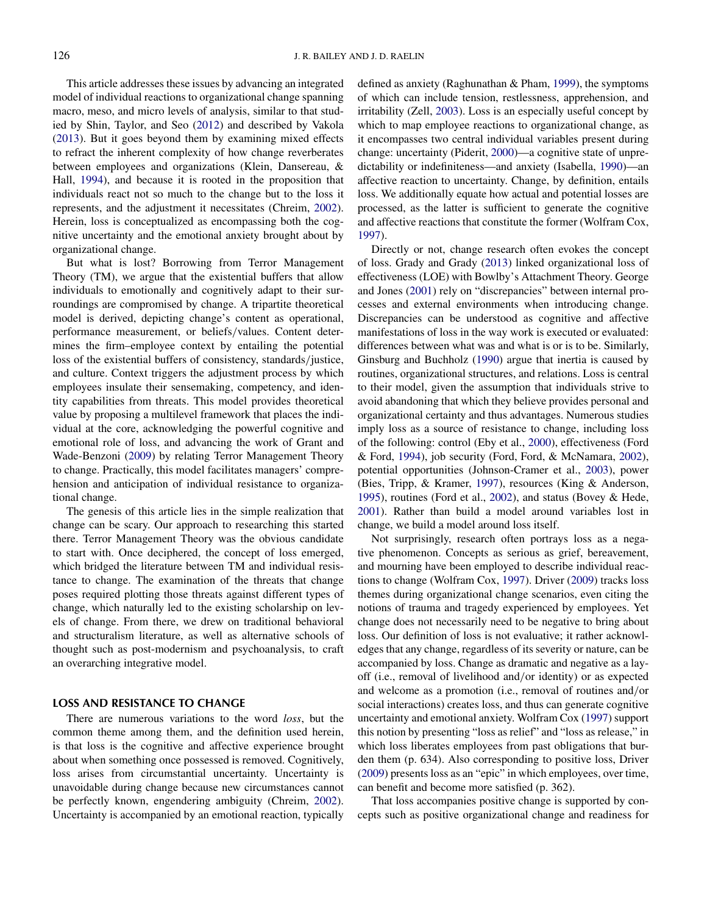This article addresses these issues by advancing an integrated model of individual reactions to organizational change spanning macro, meso, and micro levels of analysis, similar to that studied by Shin, Taylor, and Seo [\(2012\)](#page-13-6) and described by Vakola [\(2013\)](#page-14-1). But it goes beyond them by examining mixed effects to refract the inherent complexity of how change reverberates between employees and organizations (Klein, Dansereau, & Hall, [1994\)](#page-13-7), and because it is rooted in the proposition that individuals react not so much to the change but to the loss it represents, and the adjustment it necessitates (Chreim, [2002\)](#page-12-5). Herein, loss is conceptualized as encompassing both the cognitive uncertainty and the emotional anxiety brought about by organizational change.

But what is lost? Borrowing from Terror Management Theory (TM), we argue that the existential buffers that allow individuals to emotionally and cognitively adapt to their surroundings are compromised by change. A tripartite theoretical model is derived, depicting change's content as operational, performance measurement, or beliefs*/*values. Content determines the firm–employee context by entailing the potential loss of the existential buffers of consistency, standards*/*justice, and culture. Context triggers the adjustment process by which employees insulate their sensemaking, competency, and identity capabilities from threats. This model provides theoretical value by proposing a multilevel framework that places the individual at the core, acknowledging the powerful cognitive and emotional role of loss, and advancing the work of Grant and Wade-Benzoni [\(2009\)](#page-12-6) by relating Terror Management Theory to change. Practically, this model facilitates managers' comprehension and anticipation of individual resistance to organizational change.

The genesis of this article lies in the simple realization that change can be scary. Our approach to researching this started there. Terror Management Theory was the obvious candidate to start with. Once deciphered, the concept of loss emerged, which bridged the literature between TM and individual resistance to change. The examination of the threats that change poses required plotting those threats against different types of change, which naturally led to the existing scholarship on levels of change. From there, we drew on traditional behavioral and structuralism literature, as well as alternative schools of thought such as post-modernism and psychoanalysis, to craft an overarching integrative model.

#### **LOSS AND RESISTANCE TO CHANGE**

There are numerous variations to the word *loss*, but the common theme among them, and the definition used herein, is that loss is the cognitive and affective experience brought about when something once possessed is removed. Cognitively, loss arises from circumstantial uncertainty. Uncertainty is unavoidable during change because new circumstances cannot be perfectly known, engendering ambiguity (Chreim, [2002\)](#page-12-5). Uncertainty is accompanied by an emotional reaction, typically defined as anxiety (Raghunathan & Pham, [1999\)](#page-13-8), the symptoms of which can include tension, restlessness, apprehension, and irritability (Zell, [2003\)](#page-14-2). Loss is an especially useful concept by which to map employee reactions to organizational change, as it encompasses two central individual variables present during change: uncertainty (Piderit, [2000\)](#page-13-9)—a cognitive state of unpredictability or indefiniteness—and anxiety (Isabella, [1990\)](#page-13-4)—an affective reaction to uncertainty. Change, by definition, entails loss. We additionally equate how actual and potential losses are processed, as the latter is sufficient to generate the cognitive and affective reactions that constitute the former (Wolfram Cox, [1997\)](#page-14-3).

Directly or not, change research often evokes the concept of loss. Grady and Grady [\(2013\)](#page-12-7) linked organizational loss of effectiveness (LOE) with Bowlby's Attachment Theory. George and Jones [\(2001\)](#page-12-2) rely on "discrepancies" between internal processes and external environments when introducing change. Discrepancies can be understood as cognitive and affective manifestations of loss in the way work is executed or evaluated: differences between what was and what is or is to be. Similarly, Ginsburg and Buchholz [\(1990\)](#page-12-1) argue that inertia is caused by routines, organizational structures, and relations. Loss is central to their model, given the assumption that individuals strive to avoid abandoning that which they believe provides personal and organizational certainty and thus advantages. Numerous studies imply loss as a source of resistance to change, including loss of the following: control (Eby et al., [2000\)](#page-12-3), effectiveness (Ford & Ford, [1994\)](#page-12-8), job security (Ford, Ford, & McNamara, [2002\)](#page-12-9), potential opportunities (Johnson-Cramer et al., [2003\)](#page-13-2), power (Bies, Tripp, & Kramer, [1997\)](#page-12-10), resources (King & Anderson, [1995\)](#page-13-10), routines (Ford et al., [2002\)](#page-12-9), and status (Bovey & Hede, [2001\)](#page-12-11). Rather than build a model around variables lost in change, we build a model around loss itself.

Not surprisingly, research often portrays loss as a negative phenomenon. Concepts as serious as grief, bereavement, and mourning have been employed to describe individual reactions to change (Wolfram Cox, [1997\)](#page-14-3). Driver [\(2009\)](#page-12-12) tracks loss themes during organizational change scenarios, even citing the notions of trauma and tragedy experienced by employees. Yet change does not necessarily need to be negative to bring about loss. Our definition of loss is not evaluative; it rather acknowledges that any change, regardless of its severity or nature, can be accompanied by loss. Change as dramatic and negative as a layoff (i.e., removal of livelihood and*/*or identity) or as expected and welcome as a promotion (i.e., removal of routines and*/*or social interactions) creates loss, and thus can generate cognitive uncertainty and emotional anxiety. Wolfram Cox [\(1997\)](#page-14-3) support this notion by presenting "loss as relief" and "loss as release," in which loss liberates employees from past obligations that burden them (p. 634). Also corresponding to positive loss, Driver [\(2009\)](#page-12-12) presents loss as an "epic" in which employees, over time, can benefit and become more satisfied (p. 362).

That loss accompanies positive change is supported by concepts such as positive organizational change and readiness for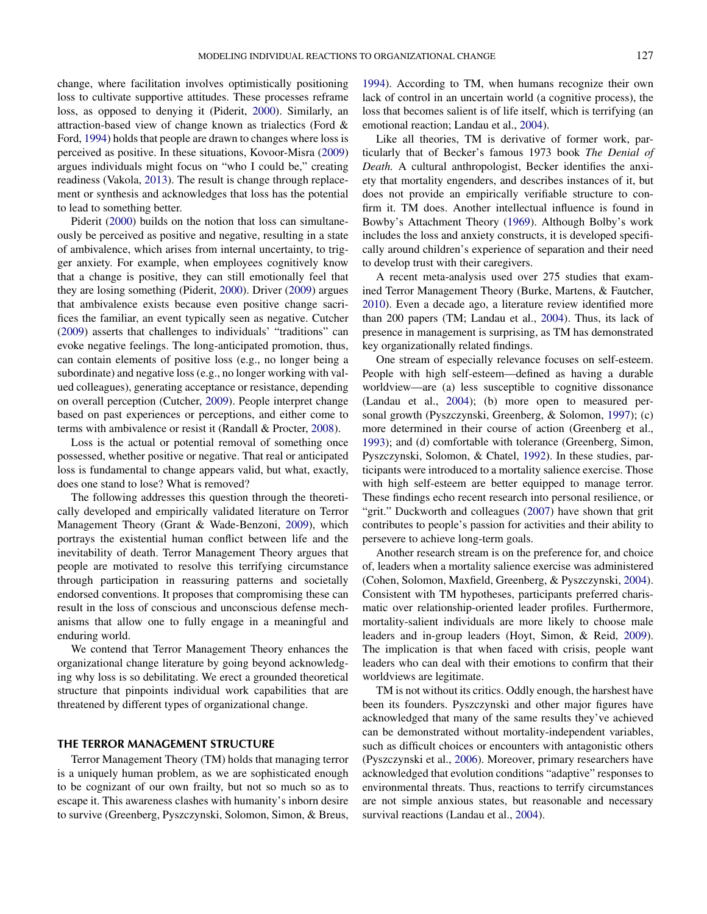change, where facilitation involves optimistically positioning loss to cultivate supportive attitudes. These processes reframe loss, as opposed to denying it (Piderit, [2000\)](#page-13-9). Similarly, an attraction-based view of change known as trialectics (Ford & Ford, [1994\)](#page-12-8) holds that people are drawn to changes where loss is perceived as positive. In these situations, Kovoor-Misra [\(2009\)](#page-13-11) argues individuals might focus on "who I could be," creating readiness (Vakola, [2013\)](#page-14-1). The result is change through replacement or synthesis and acknowledges that loss has the potential to lead to something better.

Piderit [\(2000\)](#page-13-9) builds on the notion that loss can simultaneously be perceived as positive and negative, resulting in a state of ambivalence, which arises from internal uncertainty, to trigger anxiety. For example, when employees cognitively know that a change is positive, they can still emotionally feel that they are losing something (Piderit, [2000\)](#page-13-9). Driver [\(2009\)](#page-12-12) argues that ambivalence exists because even positive change sacrifices the familiar, an event typically seen as negative. Cutcher [\(2009\)](#page-12-13) asserts that challenges to individuals' "traditions" can evoke negative feelings. The long-anticipated promotion, thus, can contain elements of positive loss (e.g., no longer being a subordinate) and negative loss (e.g., no longer working with valued colleagues), generating acceptance or resistance, depending on overall perception (Cutcher, [2009\)](#page-12-13). People interpret change based on past experiences or perceptions, and either come to terms with ambivalence or resist it (Randall & Procter, [2008\)](#page-13-12).

Loss is the actual or potential removal of something once possessed, whether positive or negative. That real or anticipated loss is fundamental to change appears valid, but what, exactly, does one stand to lose? What is removed?

The following addresses this question through the theoretically developed and empirically validated literature on Terror Management Theory (Grant & Wade-Benzoni, [2009\)](#page-12-6), which portrays the existential human conflict between life and the inevitability of death. Terror Management Theory argues that people are motivated to resolve this terrifying circumstance through participation in reassuring patterns and societally endorsed conventions. It proposes that compromising these can result in the loss of conscious and unconscious defense mechanisms that allow one to fully engage in a meaningful and enduring world.

We contend that Terror Management Theory enhances the organizational change literature by going beyond acknowledging why loss is so debilitating. We erect a grounded theoretical structure that pinpoints individual work capabilities that are threatened by different types of organizational change.

#### **THE TERROR MANAGEMENT STRUCTURE**

Terror Management Theory (TM) holds that managing terror is a uniquely human problem, as we are sophisticated enough to be cognizant of our own frailty, but not so much so as to escape it. This awareness clashes with humanity's inborn desire to survive (Greenberg, Pyszczynski, Solomon, Simon, & Breus,

[1994\)](#page-13-13). According to TM, when humans recognize their own lack of control in an uncertain world (a cognitive process), the loss that becomes salient is of life itself, which is terrifying (an emotional reaction; Landau et al., [2004\)](#page-13-14).

Like all theories, TM is derivative of former work, particularly that of Becker's famous 1973 book *The Denial of Death.* A cultural anthropologist, Becker identifies the anxiety that mortality engenders, and describes instances of it, but does not provide an empirically verifiable structure to confirm it. TM does. Another intellectual influence is found in Bowby's Attachment Theory [\(1969\)](#page-12-14). Although Bolby's work includes the loss and anxiety constructs, it is developed specifically around children's experience of separation and their need to develop trust with their caregivers.

A recent meta-analysis used over 275 studies that examined Terror Management Theory (Burke, Martens, & Fautcher, [2010\)](#page-12-15). Even a decade ago, a literature review identified more than 200 papers (TM; Landau et al., [2004\)](#page-13-14). Thus, its lack of presence in management is surprising, as TM has demonstrated key organizationally related findings.

One stream of especially relevance focuses on self-esteem. People with high self-esteem—defined as having a durable worldview—are (a) less susceptible to cognitive dissonance (Landau et al., [2004\)](#page-13-14); (b) more open to measured personal growth (Pyszczynski, Greenberg, & Solomon, [1997\)](#page-13-15); (c) more determined in their course of action (Greenberg et al., [1993\)](#page-13-16); and (d) comfortable with tolerance (Greenberg, Simon, Pyszczynski, Solomon, & Chatel, [1992\)](#page-13-17). In these studies, participants were introduced to a mortality salience exercise. Those with high self-esteem are better equipped to manage terror. These findings echo recent research into personal resilience, or "grit." Duckworth and colleagues [\(2007\)](#page-12-16) have shown that grit contributes to people's passion for activities and their ability to persevere to achieve long-term goals.

Another research stream is on the preference for, and choice of, leaders when a mortality salience exercise was administered (Cohen, Solomon, Maxfield, Greenberg, & Pyszczynski, [2004\)](#page-12-17). Consistent with TM hypotheses, participants preferred charismatic over relationship-oriented leader profiles. Furthermore, mortality-salient individuals are more likely to choose male leaders and in-group leaders (Hoyt, Simon, & Reid, [2009\)](#page-13-18). The implication is that when faced with crisis, people want leaders who can deal with their emotions to confirm that their worldviews are legitimate.

TM is not without its critics. Oddly enough, the harshest have been its founders. Pyszczynski and other major figures have acknowledged that many of the same results they've achieved can be demonstrated without mortality-independent variables, such as difficult choices or encounters with antagonistic others (Pyszczynski et al., [2006\)](#page-13-19). Moreover, primary researchers have acknowledged that evolution conditions "adaptive" responses to environmental threats. Thus, reactions to terrify circumstances are not simple anxious states, but reasonable and necessary survival reactions (Landau et al., [2004\)](#page-13-14).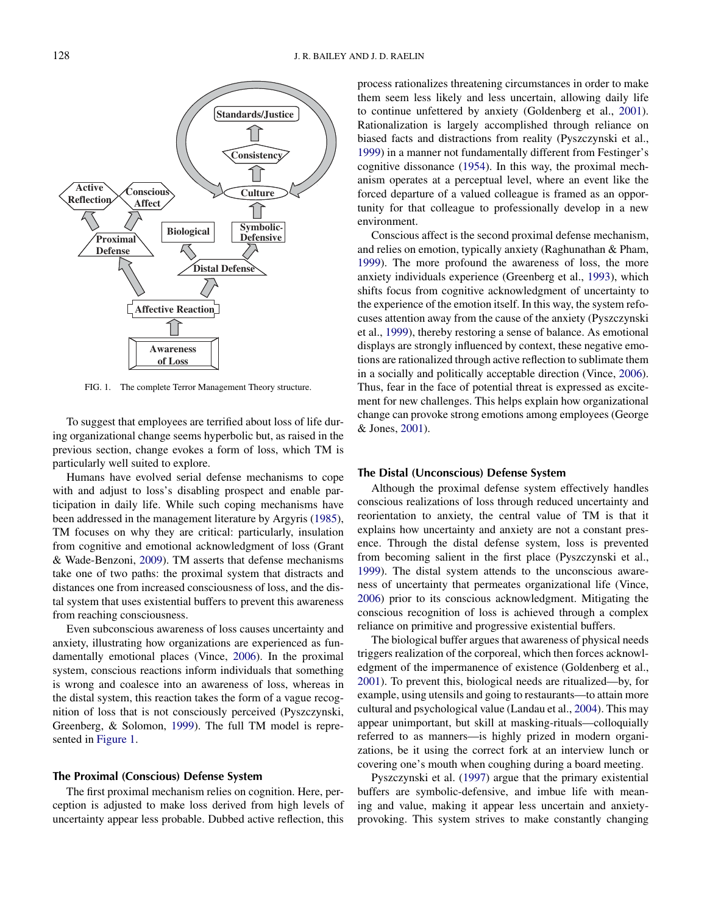<span id="page-4-0"></span>

FIG. 1. The complete Terror Management Theory structure.

To suggest that employees are terrified about loss of life during organizational change seems hyperbolic but, as raised in the previous section, change evokes a form of loss, which TM is particularly well suited to explore.

Humans have evolved serial defense mechanisms to cope with and adjust to loss's disabling prospect and enable participation in daily life. While such coping mechanisms have been addressed in the management literature by Argyris [\(1985\)](#page-12-18), TM focuses on why they are critical: particularly, insulation from cognitive and emotional acknowledgment of loss (Grant & Wade-Benzoni, [2009\)](#page-12-6). TM asserts that defense mechanisms take one of two paths: the proximal system that distracts and distances one from increased consciousness of loss, and the distal system that uses existential buffers to prevent this awareness from reaching consciousness.

Even subconscious awareness of loss causes uncertainty and anxiety, illustrating how organizations are experienced as fundamentally emotional places (Vince, [2006\)](#page-14-4). In the proximal system, conscious reactions inform individuals that something is wrong and coalesce into an awareness of loss, whereas in the distal system, this reaction takes the form of a vague recognition of loss that is not consciously perceived (Pyszczynski, Greenberg, & Solomon, [1999\)](#page-13-20). The full TM model is represented in [Figure 1.](#page-4-0)

#### **The Proximal (Conscious) Defense System**

The first proximal mechanism relies on cognition. Here, perception is adjusted to make loss derived from high levels of uncertainty appear less probable. Dubbed active reflection, this

process rationalizes threatening circumstances in order to make them seem less likely and less uncertain, allowing daily life to continue unfettered by anxiety (Goldenberg et al., [2001\)](#page-12-19). Rationalization is largely accomplished through reliance on biased facts and distractions from reality (Pyszczynski et al., [1999\)](#page-13-20) in a manner not fundamentally different from Festinger's cognitive dissonance [\(1954\)](#page-12-20). In this way, the proximal mechanism operates at a perceptual level, where an event like the forced departure of a valued colleague is framed as an opportunity for that colleague to professionally develop in a new environment.

Conscious affect is the second proximal defense mechanism, and relies on emotion, typically anxiety (Raghunathan & Pham, [1999\)](#page-13-8). The more profound the awareness of loss, the more anxiety individuals experience (Greenberg et al., [1993\)](#page-13-16), which shifts focus from cognitive acknowledgment of uncertainty to the experience of the emotion itself. In this way, the system refocuses attention away from the cause of the anxiety (Pyszczynski et al., [1999\)](#page-13-20), thereby restoring a sense of balance. As emotional displays are strongly influenced by context, these negative emotions are rationalized through active reflection to sublimate them in a socially and politically acceptable direction (Vince, [2006\)](#page-14-4). Thus, fear in the face of potential threat is expressed as excitement for new challenges. This helps explain how organizational change can provoke strong emotions among employees (George & Jones, [2001\)](#page-12-2).

#### **The Distal (Unconscious) Defense System**

Although the proximal defense system effectively handles conscious realizations of loss through reduced uncertainty and reorientation to anxiety, the central value of TM is that it explains how uncertainty and anxiety are not a constant presence. Through the distal defense system, loss is prevented from becoming salient in the first place (Pyszczynski et al., [1999\)](#page-13-20). The distal system attends to the unconscious awareness of uncertainty that permeates organizational life (Vince, [2006\)](#page-14-4) prior to its conscious acknowledgment. Mitigating the conscious recognition of loss is achieved through a complex reliance on primitive and progressive existential buffers.

The biological buffer argues that awareness of physical needs triggers realization of the corporeal, which then forces acknowledgment of the impermanence of existence (Goldenberg et al., [2001\)](#page-12-19). To prevent this, biological needs are ritualized—by, for example, using utensils and going to restaurants—to attain more cultural and psychological value (Landau et al., [2004\)](#page-13-14). This may appear unimportant, but skill at masking-rituals—colloquially referred to as manners—is highly prized in modern organizations, be it using the correct fork at an interview lunch or covering one's mouth when coughing during a board meeting.

Pyszczynski et al. [\(1997\)](#page-13-15) argue that the primary existential buffers are symbolic-defensive, and imbue life with meaning and value, making it appear less uncertain and anxietyprovoking. This system strives to make constantly changing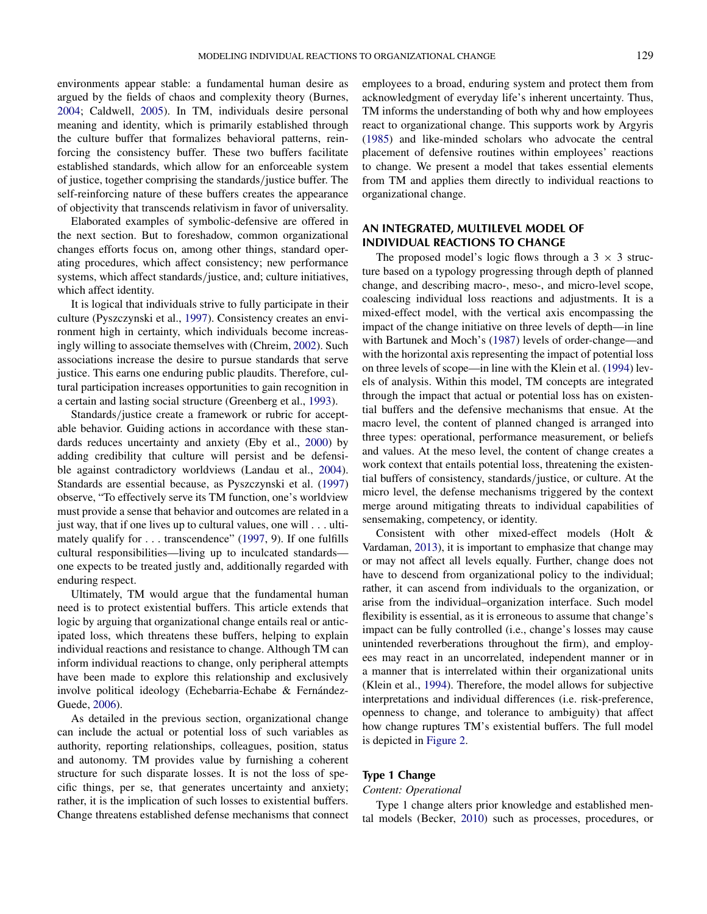environments appear stable: a fundamental human desire as argued by the fields of chaos and complexity theory (Burnes, [2004;](#page-12-21) Caldwell, [2005\)](#page-12-4). In TM, individuals desire personal meaning and identity, which is primarily established through the culture buffer that formalizes behavioral patterns, reinforcing the consistency buffer. These two buffers facilitate established standards, which allow for an enforceable system of justice, together comprising the standards*/*justice buffer. The self-reinforcing nature of these buffers creates the appearance of objectivity that transcends relativism in favor of universality.

Elaborated examples of symbolic-defensive are offered in the next section. But to foreshadow, common organizational changes efforts focus on, among other things, standard operating procedures, which affect consistency; new performance systems, which affect standards*/*justice, and; culture initiatives, which affect identity.

It is logical that individuals strive to fully participate in their culture (Pyszczynski et al., [1997\)](#page-13-15). Consistency creates an environment high in certainty, which individuals become increasingly willing to associate themselves with (Chreim, [2002\)](#page-12-5). Such associations increase the desire to pursue standards that serve justice. This earns one enduring public plaudits. Therefore, cultural participation increases opportunities to gain recognition in a certain and lasting social structure (Greenberg et al., [1993\)](#page-13-16).

Standards*/*justice create a framework or rubric for acceptable behavior. Guiding actions in accordance with these standards reduces uncertainty and anxiety (Eby et al., [2000\)](#page-12-3) by adding credibility that culture will persist and be defensible against contradictory worldviews (Landau et al., [2004\)](#page-13-14). Standards are essential because, as Pyszczynski et al. [\(1997\)](#page-13-15) observe, "To effectively serve its TM function, one's worldview must provide a sense that behavior and outcomes are related in a just way, that if one lives up to cultural values, one will *...* ulti-mately qualify for . . . transcendence" [\(1997,](#page-13-15) 9). If one fulfills cultural responsibilities—living up to inculcated standards one expects to be treated justly and, additionally regarded with enduring respect.

Ultimately, TM would argue that the fundamental human need is to protect existential buffers. This article extends that logic by arguing that organizational change entails real or anticipated loss, which threatens these buffers, helping to explain individual reactions and resistance to change. Although TM can inform individual reactions to change, only peripheral attempts have been made to explore this relationship and exclusively involve political ideology (Echebarria-Echabe & Fernández-Guede, [2006\)](#page-12-22).

As detailed in the previous section, organizational change can include the actual or potential loss of such variables as authority, reporting relationships, colleagues, position, status and autonomy. TM provides value by furnishing a coherent structure for such disparate losses. It is not the loss of specific things, per se, that generates uncertainty and anxiety; rather, it is the implication of such losses to existential buffers. Change threatens established defense mechanisms that connect employees to a broad, enduring system and protect them from acknowledgment of everyday life's inherent uncertainty. Thus, TM informs the understanding of both why and how employees react to organizational change. This supports work by Argyris [\(1985\)](#page-12-18) and like-minded scholars who advocate the central placement of defensive routines within employees' reactions to change. We present a model that takes essential elements from TM and applies them directly to individual reactions to organizational change.

# **AN INTEGRATED, MULTILEVEL MODEL OF INDIVIDUAL REACTIONS TO CHANGE**

The proposed model's logic flows through a  $3 \times 3$  structure based on a typology progressing through depth of planned change, and describing macro-, meso-, and micro-level scope, coalescing individual loss reactions and adjustments. It is a mixed-effect model, with the vertical axis encompassing the impact of the change initiative on three levels of depth—in line with Bartunek and Moch's [\(1987\)](#page-12-23) levels of order-change—and with the horizontal axis representing the impact of potential loss on three levels of scope—in line with the Klein et al. [\(1994\)](#page-13-7) levels of analysis. Within this model, TM concepts are integrated through the impact that actual or potential loss has on existential buffers and the defensive mechanisms that ensue. At the macro level, the content of planned changed is arranged into three types: operational, performance measurement, or beliefs and values. At the meso level, the content of change creates a work context that entails potential loss, threatening the existential buffers of consistency, standards*/*justice, or culture. At the micro level, the defense mechanisms triggered by the context merge around mitigating threats to individual capabilities of sensemaking, competency, or identity.

Consistent with other mixed-effect models (Holt & Vardaman, [2013\)](#page-13-21), it is important to emphasize that change may or may not affect all levels equally. Further, change does not have to descend from organizational policy to the individual; rather, it can ascend from individuals to the organization, or arise from the individual–organization interface. Such model flexibility is essential, as it is erroneous to assume that change's impact can be fully controlled (i.e., change's losses may cause unintended reverberations throughout the firm), and employees may react in an uncorrelated, independent manner or in a manner that is interrelated within their organizational units (Klein et al., [1994\)](#page-13-7). Therefore, the model allows for subjective interpretations and individual differences (i.e. risk-preference, openness to change, and tolerance to ambiguity) that affect how change ruptures TM's existential buffers. The full model is depicted in [Figure 2.](#page-6-0)

#### **Type 1 Change**

#### *Content: Operational*

Type 1 change alters prior knowledge and established mental models (Becker, [2010\)](#page-12-24) such as processes, procedures, or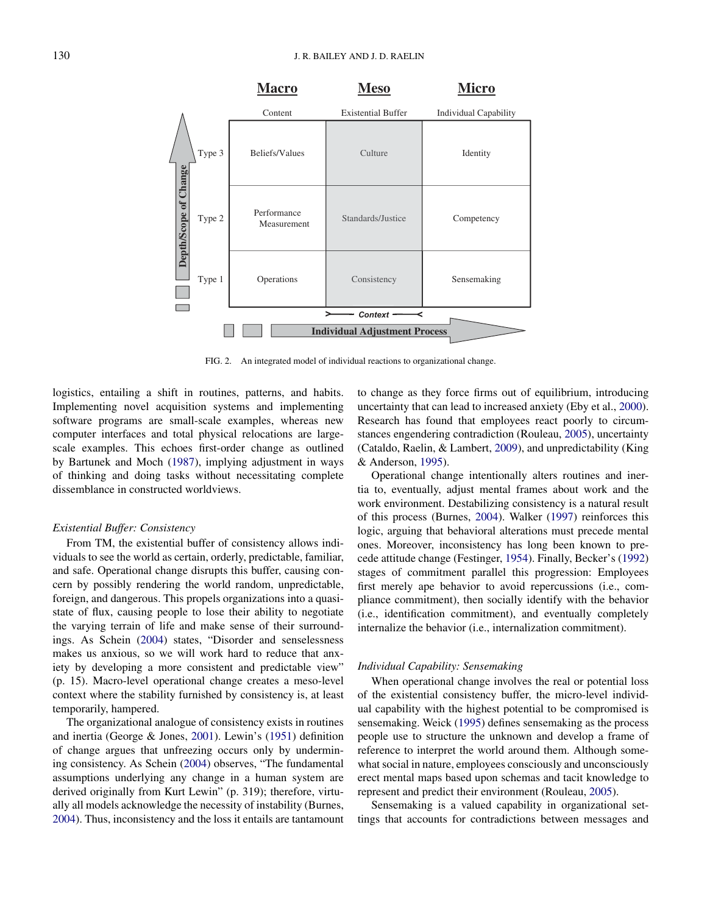<span id="page-6-0"></span>

FIG. 2. An integrated model of individual reactions to organizational change.

logistics, entailing a shift in routines, patterns, and habits. Implementing novel acquisition systems and implementing software programs are small-scale examples, whereas new computer interfaces and total physical relocations are largescale examples. This echoes first-order change as outlined by Bartunek and Moch [\(1987\)](#page-12-23), implying adjustment in ways of thinking and doing tasks without necessitating complete dissemblance in constructed worldviews.

#### *Existential Buffer: Consistency*

From TM, the existential buffer of consistency allows individuals to see the world as certain, orderly, predictable, familiar, and safe. Operational change disrupts this buffer, causing concern by possibly rendering the world random, unpredictable, foreign, and dangerous. This propels organizations into a quasistate of flux, causing people to lose their ability to negotiate the varying terrain of life and make sense of their surroundings. As Schein [\(2004\)](#page-13-22) states, "Disorder and senselessness makes us anxious, so we will work hard to reduce that anxiety by developing a more consistent and predictable view" (p. 15). Macro-level operational change creates a meso-level context where the stability furnished by consistency is, at least temporarily, hampered.

The organizational analogue of consistency exists in routines and inertia (George & Jones, [2001\)](#page-12-2). Lewin's [\(1951\)](#page-13-23) definition of change argues that unfreezing occurs only by undermining consistency. As Schein [\(2004\)](#page-13-22) observes, "The fundamental assumptions underlying any change in a human system are derived originally from Kurt Lewin" (p. 319); therefore, virtually all models acknowledge the necessity of instability (Burnes, [2004\)](#page-12-21). Thus, inconsistency and the loss it entails are tantamount to change as they force firms out of equilibrium, introducing uncertainty that can lead to increased anxiety (Eby et al., [2000\)](#page-12-3). Research has found that employees react poorly to circumstances engendering contradiction (Rouleau, [2005\)](#page-13-24), uncertainty (Cataldo, Raelin, & Lambert, [2009\)](#page-12-25), and unpredictability (King & Anderson, [1995\)](#page-13-10).

Operational change intentionally alters routines and inertia to, eventually, adjust mental frames about work and the work environment. Destabilizing consistency is a natural result of this process (Burnes, [2004\)](#page-12-21). Walker [\(1997\)](#page-14-5) reinforces this logic, arguing that behavioral alterations must precede mental ones. Moreover, inconsistency has long been known to precede attitude change (Festinger, [1954\)](#page-12-20). Finally, Becker's [\(1992\)](#page-12-26) stages of commitment parallel this progression: Employees first merely ape behavior to avoid repercussions (i.e., compliance commitment), then socially identify with the behavior (i.e., identification commitment), and eventually completely internalize the behavior (i.e., internalization commitment).

#### *Individual Capability: Sensemaking*

When operational change involves the real or potential loss of the existential consistency buffer, the micro-level individual capability with the highest potential to be compromised is sensemaking. Weick [\(1995\)](#page-14-6) defines sensemaking as the process people use to structure the unknown and develop a frame of reference to interpret the world around them. Although somewhat social in nature, employees consciously and unconsciously erect mental maps based upon schemas and tacit knowledge to represent and predict their environment (Rouleau, [2005\)](#page-13-24).

Sensemaking is a valued capability in organizational settings that accounts for contradictions between messages and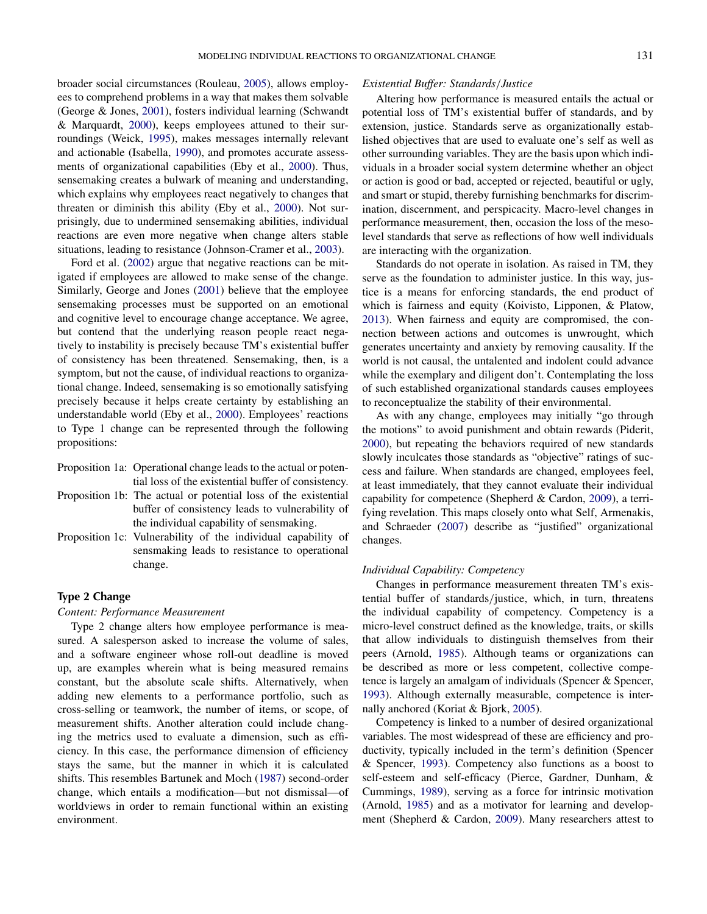broader social circumstances (Rouleau, [2005\)](#page-13-24), allows employees to comprehend problems in a way that makes them solvable (George & Jones, [2001\)](#page-12-2), fosters individual learning (Schwandt & Marquardt, [2000\)](#page-13-25), keeps employees attuned to their surroundings (Weick, [1995\)](#page-14-6), makes messages internally relevant and actionable (Isabella, [1990\)](#page-13-4), and promotes accurate assessments of organizational capabilities (Eby et al., [2000\)](#page-12-3). Thus, sensemaking creates a bulwark of meaning and understanding, which explains why employees react negatively to changes that threaten or diminish this ability (Eby et al., [2000\)](#page-12-3). Not surprisingly, due to undermined sensemaking abilities, individual reactions are even more negative when change alters stable situations, leading to resistance (Johnson-Cramer et al., [2003\)](#page-13-2).

Ford et al. [\(2002\)](#page-12-9) argue that negative reactions can be mitigated if employees are allowed to make sense of the change. Similarly, George and Jones [\(2001\)](#page-12-2) believe that the employee sensemaking processes must be supported on an emotional and cognitive level to encourage change acceptance. We agree, but contend that the underlying reason people react negatively to instability is precisely because TM's existential buffer of consistency has been threatened. Sensemaking, then, is a symptom, but not the cause, of individual reactions to organizational change. Indeed, sensemaking is so emotionally satisfying precisely because it helps create certainty by establishing an understandable world (Eby et al., [2000\)](#page-12-3). Employees' reactions to Type 1 change can be represented through the following propositions:

- Proposition 1a: Operational change leads to the actual or potential loss of the existential buffer of consistency.
- Proposition 1b: The actual or potential loss of the existential buffer of consistency leads to vulnerability of the individual capability of sensmaking.
- Proposition 1c: Vulnerability of the individual capability of sensmaking leads to resistance to operational change.

#### **Type 2 Change**

#### *Content: Performance Measurement*

Type 2 change alters how employee performance is measured. A salesperson asked to increase the volume of sales, and a software engineer whose roll-out deadline is moved up, are examples wherein what is being measured remains constant, but the absolute scale shifts. Alternatively, when adding new elements to a performance portfolio, such as cross-selling or teamwork, the number of items, or scope, of measurement shifts. Another alteration could include changing the metrics used to evaluate a dimension, such as efficiency. In this case, the performance dimension of efficiency stays the same, but the manner in which it is calculated shifts. This resembles Bartunek and Moch [\(1987\)](#page-12-23) second-order change, which entails a modification—but not dismissal—of worldviews in order to remain functional within an existing environment.

#### *Existential Buffer: Standards/Justice*

Altering how performance is measured entails the actual or potential loss of TM's existential buffer of standards, and by extension, justice. Standards serve as organizationally established objectives that are used to evaluate one's self as well as other surrounding variables. They are the basis upon which individuals in a broader social system determine whether an object or action is good or bad, accepted or rejected, beautiful or ugly, and smart or stupid, thereby furnishing benchmarks for discrimination, discernment, and perspicacity. Macro-level changes in performance measurement, then, occasion the loss of the mesolevel standards that serve as reflections of how well individuals are interacting with the organization.

Standards do not operate in isolation. As raised in TM, they serve as the foundation to administer justice. In this way, justice is a means for enforcing standards, the end product of which is fairness and equity (Koivisto, Lipponen, & Platow, [2013\)](#page-13-26). When fairness and equity are compromised, the connection between actions and outcomes is unwrought, which generates uncertainty and anxiety by removing causality. If the world is not causal, the untalented and indolent could advance while the exemplary and diligent don't. Contemplating the loss of such established organizational standards causes employees to reconceptualize the stability of their environmental.

As with any change, employees may initially "go through the motions" to avoid punishment and obtain rewards (Piderit, [2000\)](#page-13-9), but repeating the behaviors required of new standards slowly inculcates those standards as "objective" ratings of success and failure. When standards are changed, employees feel, at least immediately, that they cannot evaluate their individual capability for competence (Shepherd & Cardon, [2009\)](#page-13-27), a terrifying revelation. This maps closely onto what Self, Armenakis, and Schraeder [\(2007\)](#page-13-0) describe as "justified" organizational changes.

#### *Individual Capability: Competency*

Changes in performance measurement threaten TM's existential buffer of standards*/*justice, which, in turn, threatens the individual capability of competency. Competency is a micro-level construct defined as the knowledge, traits, or skills that allow individuals to distinguish themselves from their peers (Arnold, [1985\)](#page-12-27). Although teams or organizations can be described as more or less competent, collective competence is largely an amalgam of individuals (Spencer & Spencer, [1993\)](#page-13-28). Although externally measurable, competence is internally anchored (Koriat & Bjork, [2005\)](#page-13-29).

Competency is linked to a number of desired organizational variables. The most widespread of these are efficiency and productivity, typically included in the term's definition (Spencer & Spencer, [1993\)](#page-13-28). Competency also functions as a boost to self-esteem and self-efficacy (Pierce, Gardner, Dunham, & Cummings, [1989\)](#page-13-30), serving as a force for intrinsic motivation (Arnold, [1985\)](#page-12-27) and as a motivator for learning and development (Shepherd & Cardon, [2009\)](#page-13-27). Many researchers attest to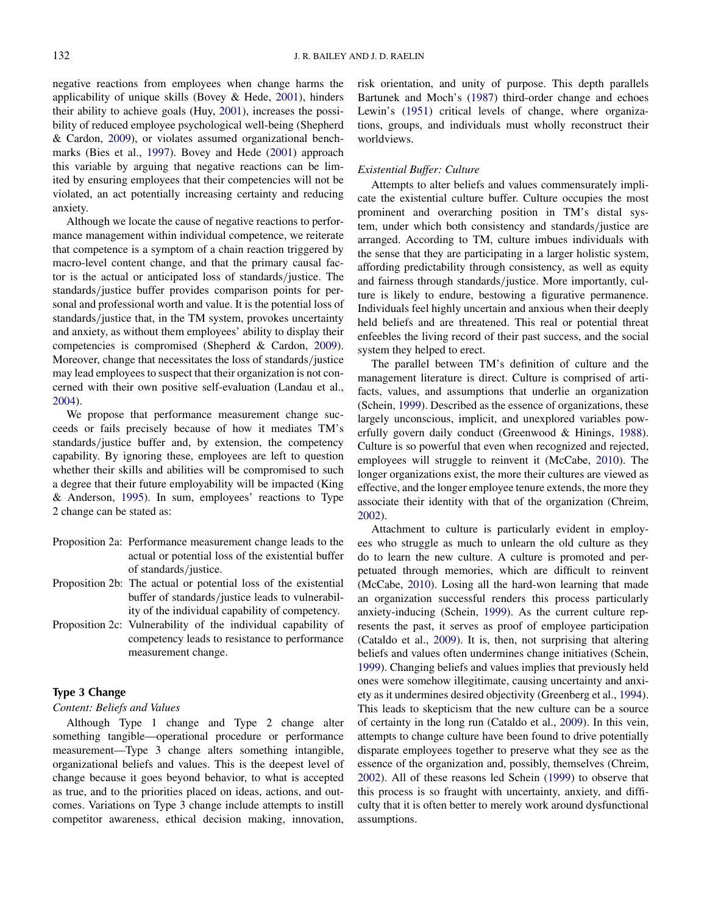negative reactions from employees when change harms the applicability of unique skills (Bovey  $\&$  Hede, [2001\)](#page-12-11), hinders their ability to achieve goals (Huy, [2001\)](#page-13-5), increases the possibility of reduced employee psychological well-being (Shepherd & Cardon, [2009\)](#page-13-27), or violates assumed organizational benchmarks (Bies et al., [1997\)](#page-12-10). Bovey and Hede [\(2001\)](#page-12-11) approach this variable by arguing that negative reactions can be limited by ensuring employees that their competencies will not be violated, an act potentially increasing certainty and reducing anxiety.

Although we locate the cause of negative reactions to performance management within individual competence, we reiterate that competence is a symptom of a chain reaction triggered by macro-level content change, and that the primary causal factor is the actual or anticipated loss of standards*/*justice. The standards*/*justice buffer provides comparison points for personal and professional worth and value. It is the potential loss of standards*/*justice that, in the TM system, provokes uncertainty and anxiety, as without them employees' ability to display their competencies is compromised (Shepherd & Cardon, [2009\)](#page-13-27). Moreover, change that necessitates the loss of standards*/*justice may lead employees to suspect that their organization is not concerned with their own positive self-evaluation (Landau et al., [2004\)](#page-13-14).

We propose that performance measurement change succeeds or fails precisely because of how it mediates TM's standards*/*justice buffer and, by extension, the competency capability. By ignoring these, employees are left to question whether their skills and abilities will be compromised to such a degree that their future employability will be impacted (King & Anderson, [1995\)](#page-13-10). In sum, employees' reactions to Type 2 change can be stated as:

- Proposition 2a: Performance measurement change leads to the actual or potential loss of the existential buffer of standards*/*justice.
- Proposition 2b: The actual or potential loss of the existential buffer of standards*/*justice leads to vulnerability of the individual capability of competency.
- Proposition 2c: Vulnerability of the individual capability of competency leads to resistance to performance measurement change.

## **Type 3 Change**

#### *Content: Beliefs and Values*

Although Type 1 change and Type 2 change alter something tangible—operational procedure or performance measurement—Type 3 change alters something intangible, organizational beliefs and values. This is the deepest level of change because it goes beyond behavior, to what is accepted as true, and to the priorities placed on ideas, actions, and outcomes. Variations on Type 3 change include attempts to instill competitor awareness, ethical decision making, innovation,

risk orientation, and unity of purpose. This depth parallels Bartunek and Moch's [\(1987\)](#page-12-23) third-order change and echoes Lewin's [\(1951\)](#page-13-23) critical levels of change, where organizations, groups, and individuals must wholly reconstruct their worldviews.

#### *Existential Buffer: Culture*

Attempts to alter beliefs and values commensurately implicate the existential culture buffer. Culture occupies the most prominent and overarching position in TM's distal system, under which both consistency and standards*/*justice are arranged. According to TM, culture imbues individuals with the sense that they are participating in a larger holistic system, affording predictability through consistency, as well as equity and fairness through standards*/*justice. More importantly, culture is likely to endure, bestowing a figurative permanence. Individuals feel highly uncertain and anxious when their deeply held beliefs and are threatened. This real or potential threat enfeebles the living record of their past success, and the social system they helped to erect.

The parallel between TM's definition of culture and the management literature is direct. Culture is comprised of artifacts, values, and assumptions that underlie an organization (Schein, [1999\)](#page-13-31). Described as the essence of organizations, these largely unconscious, implicit, and unexplored variables powerfully govern daily conduct (Greenwood & Hinings, [1988\)](#page-13-32). Culture is so powerful that even when recognized and rejected, employees will struggle to reinvent it (McCabe, [2010\)](#page-13-33). The longer organizations exist, the more their cultures are viewed as effective, and the longer employee tenure extends, the more they associate their identity with that of the organization (Chreim, [2002\)](#page-12-5).

Attachment to culture is particularly evident in employees who struggle as much to unlearn the old culture as they do to learn the new culture. A culture is promoted and perpetuated through memories, which are difficult to reinvent (McCabe, [2010\)](#page-13-33). Losing all the hard-won learning that made an organization successful renders this process particularly anxiety-inducing (Schein, [1999\)](#page-13-31). As the current culture represents the past, it serves as proof of employee participation (Cataldo et al., [2009\)](#page-12-25). It is, then, not surprising that altering beliefs and values often undermines change initiatives (Schein, [1999\)](#page-13-31). Changing beliefs and values implies that previously held ones were somehow illegitimate, causing uncertainty and anxiety as it undermines desired objectivity (Greenberg et al., [1994\)](#page-13-13). This leads to skepticism that the new culture can be a source of certainty in the long run (Cataldo et al., [2009\)](#page-12-25). In this vein, attempts to change culture have been found to drive potentially disparate employees together to preserve what they see as the essence of the organization and, possibly, themselves (Chreim, [2002\)](#page-12-5). All of these reasons led Schein [\(1999\)](#page-13-31) to observe that this process is so fraught with uncertainty, anxiety, and difficulty that it is often better to merely work around dysfunctional assumptions.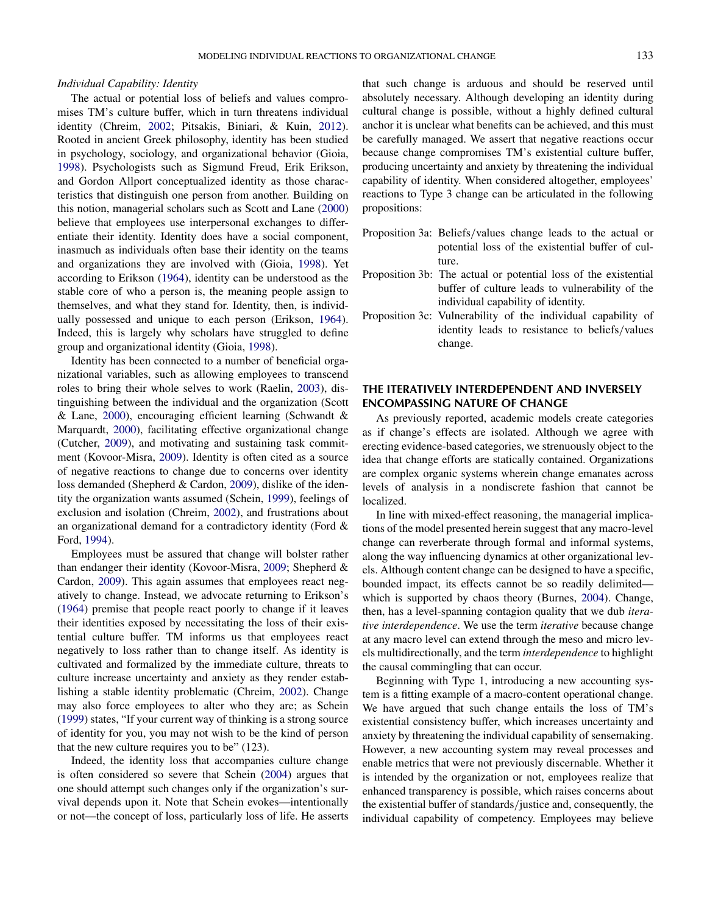#### *Individual Capability: Identity*

The actual or potential loss of beliefs and values compromises TM's culture buffer, which in turn threatens individual identity (Chreim, [2002;](#page-12-5) Pitsakis, Biniari, & Kuin, [2012\)](#page-13-34). Rooted in ancient Greek philosophy, identity has been studied in psychology, sociology, and organizational behavior (Gioia, [1998\)](#page-12-28). Psychologists such as Sigmund Freud, Erik Erikson, and Gordon Allport conceptualized identity as those characteristics that distinguish one person from another. Building on this notion, managerial scholars such as Scott and Lane [\(2000\)](#page-13-35) believe that employees use interpersonal exchanges to differentiate their identity. Identity does have a social component, inasmuch as individuals often base their identity on the teams and organizations they are involved with (Gioia, [1998\)](#page-12-28). Yet according to Erikson [\(1964\)](#page-12-29), identity can be understood as the stable core of who a person is, the meaning people assign to themselves, and what they stand for. Identity, then, is individually possessed and unique to each person (Erikson, [1964\)](#page-12-29). Indeed, this is largely why scholars have struggled to define group and organizational identity (Gioia, [1998\)](#page-12-28).

Identity has been connected to a number of beneficial organizational variables, such as allowing employees to transcend roles to bring their whole selves to work (Raelin, [2003\)](#page-13-36), distinguishing between the individual and the organization (Scott & Lane, [2000\)](#page-13-35), encouraging efficient learning (Schwandt & Marquardt, [2000\)](#page-13-25), facilitating effective organizational change (Cutcher, [2009\)](#page-12-13), and motivating and sustaining task commitment (Kovoor-Misra, [2009\)](#page-13-11). Identity is often cited as a source of negative reactions to change due to concerns over identity loss demanded (Shepherd & Cardon, [2009\)](#page-13-27), dislike of the identity the organization wants assumed (Schein, [1999\)](#page-13-31), feelings of exclusion and isolation (Chreim, [2002\)](#page-12-5), and frustrations about an organizational demand for a contradictory identity (Ford & Ford, [1994\)](#page-12-8).

Employees must be assured that change will bolster rather than endanger their identity (Kovoor-Misra, [2009;](#page-13-11) Shepherd & Cardon, [2009\)](#page-13-27). This again assumes that employees react negatively to change. Instead, we advocate returning to Erikson's [\(1964\)](#page-12-29) premise that people react poorly to change if it leaves their identities exposed by necessitating the loss of their existential culture buffer. TM informs us that employees react negatively to loss rather than to change itself. As identity is cultivated and formalized by the immediate culture, threats to culture increase uncertainty and anxiety as they render establishing a stable identity problematic (Chreim, [2002\)](#page-12-5). Change may also force employees to alter who they are; as Schein [\(1999\)](#page-13-31) states, "If your current way of thinking is a strong source of identity for you, you may not wish to be the kind of person that the new culture requires you to be" (123).

Indeed, the identity loss that accompanies culture change is often considered so severe that Schein [\(2004\)](#page-13-22) argues that one should attempt such changes only if the organization's survival depends upon it. Note that Schein evokes—intentionally or not—the concept of loss, particularly loss of life. He asserts

that such change is arduous and should be reserved until absolutely necessary. Although developing an identity during cultural change is possible, without a highly defined cultural anchor it is unclear what benefits can be achieved, and this must be carefully managed. We assert that negative reactions occur because change compromises TM's existential culture buffer, producing uncertainty and anxiety by threatening the individual capability of identity. When considered altogether, employees' reactions to Type 3 change can be articulated in the following propositions:

- Proposition 3a: Beliefs*/*values change leads to the actual or potential loss of the existential buffer of culture.
- Proposition 3b: The actual or potential loss of the existential buffer of culture leads to vulnerability of the individual capability of identity.
- Proposition 3c: Vulnerability of the individual capability of identity leads to resistance to beliefs*/*values change.

# **THE ITERATIVELY INTERDEPENDENT AND INVERSELY ENCOMPASSING NATURE OF CHANGE**

As previously reported, academic models create categories as if change's effects are isolated. Although we agree with erecting evidence-based categories, we strenuously object to the idea that change efforts are statically contained. Organizations are complex organic systems wherein change emanates across levels of analysis in a nondiscrete fashion that cannot be localized.

In line with mixed-effect reasoning, the managerial implications of the model presented herein suggest that any macro-level change can reverberate through formal and informal systems, along the way influencing dynamics at other organizational levels. Although content change can be designed to have a specific, bounded impact, its effects cannot be so readily delimited which is supported by chaos theory (Burnes, [2004\)](#page-12-21). Change, then, has a level-spanning contagion quality that we dub *iterative interdependence*. We use the term *iterative* because change at any macro level can extend through the meso and micro levels multidirectionally, and the term *interdependence* to highlight the causal commingling that can occur.

Beginning with Type 1, introducing a new accounting system is a fitting example of a macro-content operational change. We have argued that such change entails the loss of TM's existential consistency buffer, which increases uncertainty and anxiety by threatening the individual capability of sensemaking. However, a new accounting system may reveal processes and enable metrics that were not previously discernable. Whether it is intended by the organization or not, employees realize that enhanced transparency is possible, which raises concerns about the existential buffer of standards*/*justice and, consequently, the individual capability of competency. Employees may believe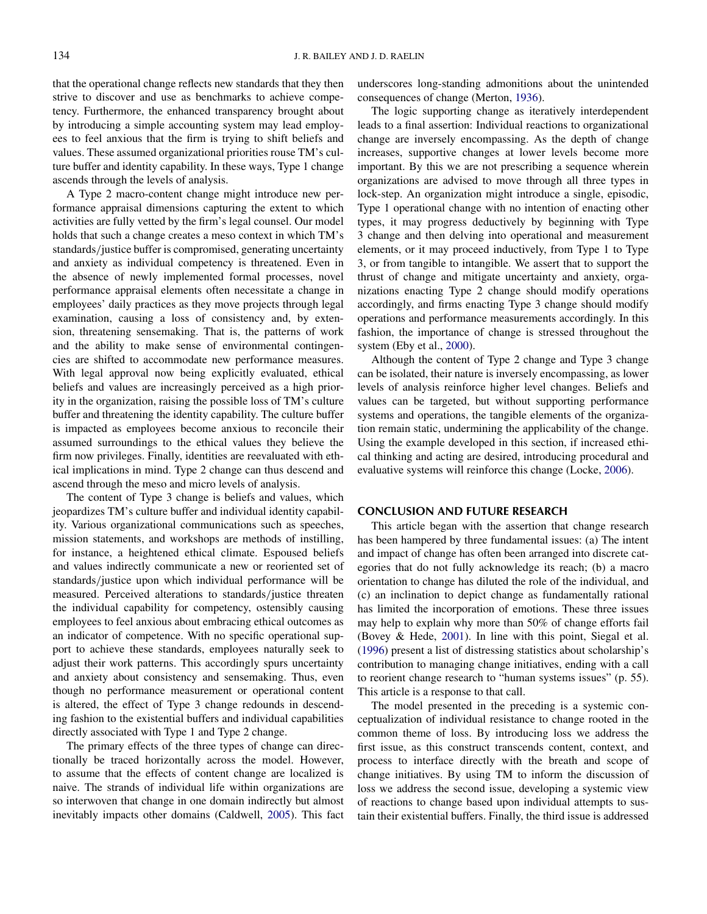that the operational change reflects new standards that they then strive to discover and use as benchmarks to achieve competency. Furthermore, the enhanced transparency brought about by introducing a simple accounting system may lead employees to feel anxious that the firm is trying to shift beliefs and values. These assumed organizational priorities rouse TM's culture buffer and identity capability. In these ways, Type 1 change ascends through the levels of analysis.

A Type 2 macro-content change might introduce new performance appraisal dimensions capturing the extent to which activities are fully vetted by the firm's legal counsel. Our model holds that such a change creates a meso context in which TM's standards*/*justice buffer is compromised, generating uncertainty and anxiety as individual competency is threatened. Even in the absence of newly implemented formal processes, novel performance appraisal elements often necessitate a change in employees' daily practices as they move projects through legal examination, causing a loss of consistency and, by extension, threatening sensemaking. That is, the patterns of work and the ability to make sense of environmental contingencies are shifted to accommodate new performance measures. With legal approval now being explicitly evaluated, ethical beliefs and values are increasingly perceived as a high priority in the organization, raising the possible loss of TM's culture buffer and threatening the identity capability. The culture buffer is impacted as employees become anxious to reconcile their assumed surroundings to the ethical values they believe the firm now privileges. Finally, identities are reevaluated with ethical implications in mind. Type 2 change can thus descend and ascend through the meso and micro levels of analysis.

The content of Type 3 change is beliefs and values, which jeopardizes TM's culture buffer and individual identity capability. Various organizational communications such as speeches, mission statements, and workshops are methods of instilling, for instance, a heightened ethical climate. Espoused beliefs and values indirectly communicate a new or reoriented set of standards*/*justice upon which individual performance will be measured. Perceived alterations to standards*/*justice threaten the individual capability for competency, ostensibly causing employees to feel anxious about embracing ethical outcomes as an indicator of competence. With no specific operational support to achieve these standards, employees naturally seek to adjust their work patterns. This accordingly spurs uncertainty and anxiety about consistency and sensemaking. Thus, even though no performance measurement or operational content is altered, the effect of Type 3 change redounds in descending fashion to the existential buffers and individual capabilities directly associated with Type 1 and Type 2 change.

The primary effects of the three types of change can directionally be traced horizontally across the model. However, to assume that the effects of content change are localized is naive. The strands of individual life within organizations are so interwoven that change in one domain indirectly but almost inevitably impacts other domains (Caldwell, [2005\)](#page-12-4). This fact underscores long-standing admonitions about the unintended consequences of change (Merton, [1936\)](#page-13-37).

The logic supporting change as iteratively interdependent leads to a final assertion: Individual reactions to organizational change are inversely encompassing. As the depth of change increases, supportive changes at lower levels become more important. By this we are not prescribing a sequence wherein organizations are advised to move through all three types in lock-step. An organization might introduce a single, episodic, Type 1 operational change with no intention of enacting other types, it may progress deductively by beginning with Type 3 change and then delving into operational and measurement elements, or it may proceed inductively, from Type 1 to Type 3, or from tangible to intangible. We assert that to support the thrust of change and mitigate uncertainty and anxiety, organizations enacting Type 2 change should modify operations accordingly, and firms enacting Type 3 change should modify operations and performance measurements accordingly. In this fashion, the importance of change is stressed throughout the system (Eby et al., [2000\)](#page-12-3).

Although the content of Type 2 change and Type 3 change can be isolated, their nature is inversely encompassing, as lower levels of analysis reinforce higher level changes. Beliefs and values can be targeted, but without supporting performance systems and operations, the tangible elements of the organization remain static, undermining the applicability of the change. Using the example developed in this section, if increased ethical thinking and acting are desired, introducing procedural and evaluative systems will reinforce this change (Locke, [2006\)](#page-13-38).

#### **CONCLUSION AND FUTURE RESEARCH**

This article began with the assertion that change research has been hampered by three fundamental issues: (a) The intent and impact of change has often been arranged into discrete categories that do not fully acknowledge its reach; (b) a macro orientation to change has diluted the role of the individual, and (c) an inclination to depict change as fundamentally rational has limited the incorporation of emotions. These three issues may help to explain why more than 50% of change efforts fail (Bovey & Hede, [2001\)](#page-12-11). In line with this point, Siegal et al. [\(1996\)](#page-13-39) present a list of distressing statistics about scholarship's contribution to managing change initiatives, ending with a call to reorient change research to "human systems issues" (p. 55). This article is a response to that call.

The model presented in the preceding is a systemic conceptualization of individual resistance to change rooted in the common theme of loss. By introducing loss we address the first issue, as this construct transcends content, context, and process to interface directly with the breath and scope of change initiatives. By using TM to inform the discussion of loss we address the second issue, developing a systemic view of reactions to change based upon individual attempts to sustain their existential buffers. Finally, the third issue is addressed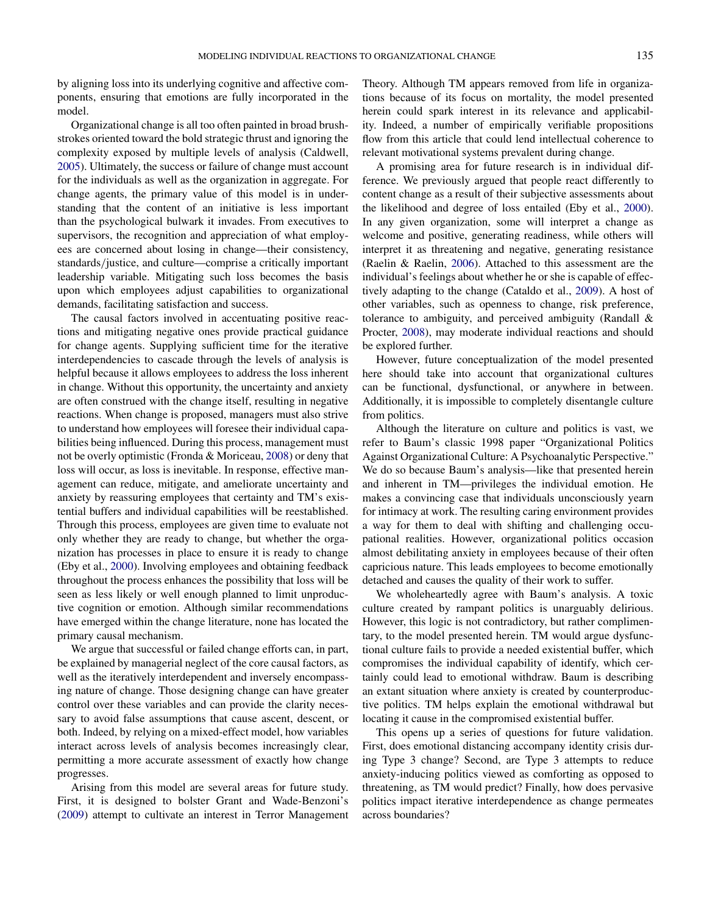by aligning loss into its underlying cognitive and affective components, ensuring that emotions are fully incorporated in the model.

Organizational change is all too often painted in broad brushstrokes oriented toward the bold strategic thrust and ignoring the complexity exposed by multiple levels of analysis (Caldwell, [2005\)](#page-12-4). Ultimately, the success or failure of change must account for the individuals as well as the organization in aggregate. For change agents, the primary value of this model is in understanding that the content of an initiative is less important than the psychological bulwark it invades. From executives to supervisors, the recognition and appreciation of what employees are concerned about losing in change—their consistency, standards*/*justice, and culture—comprise a critically important leadership variable. Mitigating such loss becomes the basis upon which employees adjust capabilities to organizational demands, facilitating satisfaction and success.

The causal factors involved in accentuating positive reactions and mitigating negative ones provide practical guidance for change agents. Supplying sufficient time for the iterative interdependencies to cascade through the levels of analysis is helpful because it allows employees to address the loss inherent in change. Without this opportunity, the uncertainty and anxiety are often construed with the change itself, resulting in negative reactions. When change is proposed, managers must also strive to understand how employees will foresee their individual capabilities being influenced. During this process, management must not be overly optimistic (Fronda & Moriceau, [2008\)](#page-12-30) or deny that loss will occur, as loss is inevitable. In response, effective management can reduce, mitigate, and ameliorate uncertainty and anxiety by reassuring employees that certainty and TM's existential buffers and individual capabilities will be reestablished. Through this process, employees are given time to evaluate not only whether they are ready to change, but whether the organization has processes in place to ensure it is ready to change (Eby et al., [2000\)](#page-12-3). Involving employees and obtaining feedback throughout the process enhances the possibility that loss will be seen as less likely or well enough planned to limit unproductive cognition or emotion. Although similar recommendations have emerged within the change literature, none has located the primary causal mechanism.

We argue that successful or failed change efforts can, in part, be explained by managerial neglect of the core causal factors, as well as the iteratively interdependent and inversely encompassing nature of change. Those designing change can have greater control over these variables and can provide the clarity necessary to avoid false assumptions that cause ascent, descent, or both. Indeed, by relying on a mixed-effect model, how variables interact across levels of analysis becomes increasingly clear, permitting a more accurate assessment of exactly how change progresses.

Arising from this model are several areas for future study. First, it is designed to bolster Grant and Wade-Benzoni's [\(2009\)](#page-12-6) attempt to cultivate an interest in Terror Management Theory. Although TM appears removed from life in organizations because of its focus on mortality, the model presented herein could spark interest in its relevance and applicability. Indeed, a number of empirically verifiable propositions flow from this article that could lend intellectual coherence to relevant motivational systems prevalent during change.

A promising area for future research is in individual difference. We previously argued that people react differently to content change as a result of their subjective assessments about the likelihood and degree of loss entailed (Eby et al., [2000\)](#page-12-3). In any given organization, some will interpret a change as welcome and positive, generating readiness, while others will interpret it as threatening and negative, generating resistance (Raelin & Raelin, [2006\)](#page-13-40). Attached to this assessment are the individual's feelings about whether he or she is capable of effectively adapting to the change (Cataldo et al., [2009\)](#page-12-25). A host of other variables, such as openness to change, risk preference, tolerance to ambiguity, and perceived ambiguity (Randall & Procter, [2008\)](#page-13-12), may moderate individual reactions and should be explored further.

However, future conceptualization of the model presented here should take into account that organizational cultures can be functional, dysfunctional, or anywhere in between. Additionally, it is impossible to completely disentangle culture from politics.

Although the literature on culture and politics is vast, we refer to Baum's classic 1998 paper "Organizational Politics Against Organizational Culture: A Psychoanalytic Perspective." We do so because Baum's analysis—like that presented herein and inherent in TM—privileges the individual emotion. He makes a convincing case that individuals unconsciously yearn for intimacy at work. The resulting caring environment provides a way for them to deal with shifting and challenging occupational realities. However, organizational politics occasion almost debilitating anxiety in employees because of their often capricious nature. This leads employees to become emotionally detached and causes the quality of their work to suffer.

We wholeheartedly agree with Baum's analysis. A toxic culture created by rampant politics is unarguably delirious. However, this logic is not contradictory, but rather complimentary, to the model presented herein. TM would argue dysfunctional culture fails to provide a needed existential buffer, which compromises the individual capability of identify, which certainly could lead to emotional withdraw. Baum is describing an extant situation where anxiety is created by counterproductive politics. TM helps explain the emotional withdrawal but locating it cause in the compromised existential buffer.

This opens up a series of questions for future validation. First, does emotional distancing accompany identity crisis during Type 3 change? Second, are Type 3 attempts to reduce anxiety-inducing politics viewed as comforting as opposed to threatening, as TM would predict? Finally, how does pervasive politics impact iterative interdependence as change permeates across boundaries?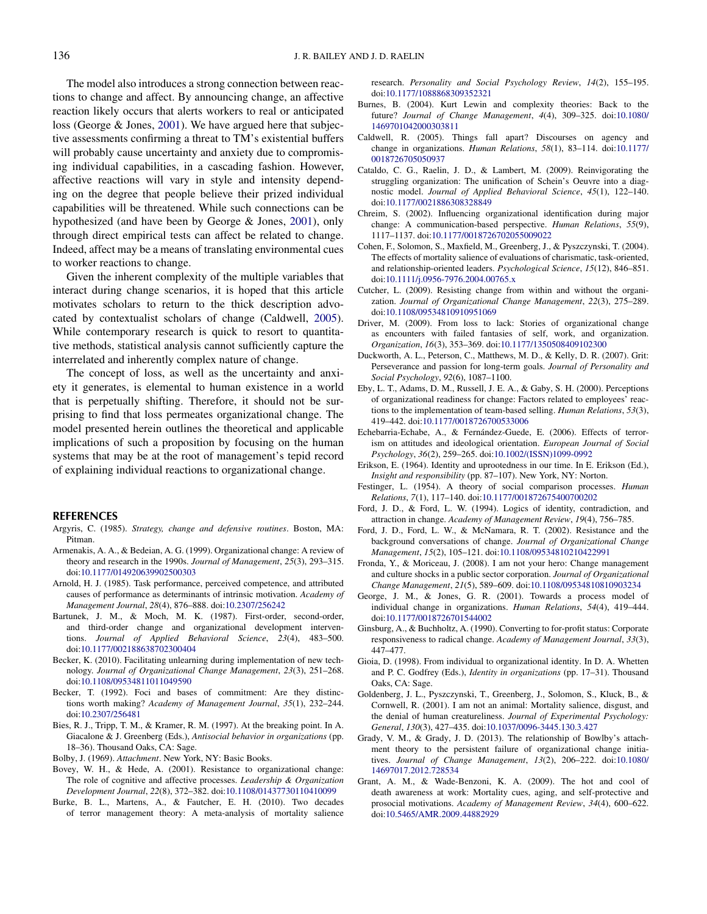The model also introduces a strong connection between reactions to change and affect. By announcing change, an affective reaction likely occurs that alerts workers to real or anticipated loss (George & Jones, [2001\)](#page-12-2). We have argued here that subjective assessments confirming a threat to TM's existential buffers will probably cause uncertainty and anxiety due to compromising individual capabilities, in a cascading fashion. However, affective reactions will vary in style and intensity depending on the degree that people believe their prized individual capabilities will be threatened. While such connections can be hypothesized (and have been by George & Jones, [2001\)](#page-12-2), only through direct empirical tests can affect be related to change. Indeed, affect may be a means of translating environmental cues to worker reactions to change.

Given the inherent complexity of the multiple variables that interact during change scenarios, it is hoped that this article motivates scholars to return to the thick description advocated by contextualist scholars of change (Caldwell, [2005\)](#page-12-4). While contemporary research is quick to resort to quantitative methods, statistical analysis cannot sufficiently capture the interrelated and inherently complex nature of change.

The concept of loss, as well as the uncertainty and anxiety it generates, is elemental to human existence in a world that is perpetually shifting. Therefore, it should not be surprising to find that loss permeates organizational change. The model presented herein outlines the theoretical and applicable implications of such a proposition by focusing on the human systems that may be at the root of management's tepid record of explaining individual reactions to organizational change.

#### **REFERENCES**

- <span id="page-12-18"></span>Argyris, C. (1985). *Strategy, change and defensive routines*. Boston, MA: Pitman.
- <span id="page-12-0"></span>Armenakis, A. A., & Bedeian, A. G. (1999). Organizational change: A review of theory and research in the 1990s. *Journal of Management*, *25*(3), 293–315. doi[:10.1177/014920639902500303](http://dx.doi.org/10.1177/014920639902500303)
- <span id="page-12-27"></span>Arnold, H. J. (1985). Task performance, perceived competence, and attributed causes of performance as determinants of intrinsic motivation. *Academy of Management Journal*, *28*(4), 876–888. doi[:10.2307/256242](http://dx.doi.org/10.2307/256242)
- <span id="page-12-23"></span>Bartunek, J. M., & Moch, M. K. (1987). First-order, second-order, and third-order change and organizational development interventions. *Journal of Applied Behavioral Science*, *23*(4), 483–500. doi[:10.1177/002188638702300404](http://dx.doi.org/10.1177/002188638702300404)
- <span id="page-12-24"></span>Becker, K. (2010). Facilitating unlearning during implementation of new technology. *Journal of Organizational Change Management*, *23*(3), 251–268. doi[:10.1108/09534811011049590](http://dx.doi.org/10.1108/09534811011049590)
- <span id="page-12-26"></span>Becker, T. (1992). Foci and bases of commitment: Are they distinctions worth making? *Academy of Management Journal*, *35*(1), 232–244. doi[:10.2307/256481](http://dx.doi.org/10.2307/256481)
- <span id="page-12-10"></span>Bies, R. J., Tripp, T. M., & Kramer, R. M. (1997). At the breaking point. In A. Giacalone & J. Greenberg (Eds.), *Antisocial behavior in organizations* (pp. 18–36). Thousand Oaks, CA: Sage.
- <span id="page-12-14"></span>Bolby, J. (1969). *Attachment*. New York, NY: Basic Books.
- <span id="page-12-11"></span>Bovey, W. H., & Hede, A. (2001). Resistance to organizational change: The role of cognitive and affective processes. *Leadership & Organization Development Journal*, *22*(8), 372–382. doi[:10.1108/01437730110410099](http://dx.doi.org/10.1108/01437730110410099)
- <span id="page-12-15"></span>Burke, B. L., Martens, A., & Fautcher, E. H. (2010). Two decades of terror management theory: A meta-analysis of mortality salience

research. *Personality and Social Psychology Review*, *14*(2), 155–195. doi[:10.1177/1088868309352321](http://dx.doi.org/10.1177/1088868309352321)

- <span id="page-12-21"></span>Burnes, B. (2004). Kurt Lewin and complexity theories: Back to the future? *Journal of Change Management*, *4*[\(4\),](http://dx.doi.org/10.1080/\gdef yes{no}\penalty \z@ \gdef \ {\penalty \z@ }\gdef no{no}\gdef yes{yes}\gdef \ \gdef \ {\ }\gdef no{no}\gdef yes{yes}{\penalty \z@ \gdef \ {\penalty \z@ }\gdef no{no}\gdef yes{yes}}1469701042000303811) [309–325.](http://dx.doi.org/10.1080/\gdef yes{no}\penalty \z@ \gdef \ {\penalty \z@ }\gdef no{no}\gdef yes{yes}\gdef \ \gdef \ {\ }\gdef no{no}\gdef yes{yes}{\penalty \z@ \gdef \ {\penalty \z@ }\gdef no{no}\gdef yes{yes}}1469701042000303811) [doi:](http://dx.doi.org/10.1080/\gdef yes{no}\penalty \z@ \gdef \ {\penalty \z@ }\gdef no{no}\gdef yes{yes}\gdef \ \gdef \ {\ }\gdef no{no}\gdef yes{yes}{\penalty \z@ \gdef \ {\penalty \z@ }\gdef no{no}\gdef yes{yes}}1469701042000303811)[10.1080/](http://dx.doi.org/10.1080/1469701042000303811) [1469701042000303811](http://dx.doi.org/10.1080/1469701042000303811)
- <span id="page-12-4"></span>Caldwell, R. (2005). Things fall apart? Discourses on agency and change in organizations. *Human Relations*, *58*[\(1\), 83–114. doi:](http://dx.doi.org/10.1177/\gdef yes{no}\penalty \z@ \gdef \ {\penalty \z@ }\gdef no{no}\gdef yes{yes}\gdef \ \gdef \ {\ }\gdef no{no}\gdef yes{yes}{\penalty \z@ \gdef \ {\penalty \z@ }\gdef no{no}\gdef yes{yes}}0018726705050937)[10.1177/](http://dx.doi.org/10.1177/0018726705050937) [0018726705050937](http://dx.doi.org/10.1177/0018726705050937)
- <span id="page-12-25"></span>Cataldo, C. G., Raelin, J. D., & Lambert, M. (2009). Reinvigorating the struggling organization: The unification of Schein's Oeuvre into a diagnostic model. *Journal of Applied Behavioral Science*, *45*(1), 122–140. doi[:10.1177/0021886308328849](http://dx.doi.org/10.1177/0021886308328849)
- <span id="page-12-5"></span>Chreim, S. (2002). Influencing organizational identification during major change: A communication-based perspective. *Human Relations*, *55*(9), 1117–1137. doi[:10.1177/0018726702055009022](http://dx.doi.org/10.1177/0018726702055009022)
- <span id="page-12-17"></span>Cohen, F., Solomon, S., Maxfield, M., Greenberg, J., & Pyszczynski, T. (2004). The effects of mortality salience of evaluations of charismatic, task-oriented, and relationship-oriented leaders. *Psychological Science*, *15*(12), 846–851. doi[:10.1111/j.0956-7976.2004.00765.x](http://dx.doi.org/10.1111/j.0956-7976.2004.00765.x)
- <span id="page-12-13"></span>Cutcher, L. (2009). Resisting change from within and without the organization. *Journal of Organizational Change Management*, *22*(3), 275–289. doi[:10.1108/09534810910951069](http://dx.doi.org/10.1108/09534810910951069)
- <span id="page-12-12"></span>Driver, M. (2009). From loss to lack: Stories of organizational change as encounters with failed fantasies of self, work, and organization. *Organization*, *16*(3), 353–369. doi[:10.1177/1350508409102300](http://dx.doi.org/10.1177/1350508409102300)
- <span id="page-12-16"></span>Duckworth, A. L., Peterson, C., Matthews, M. D., & Kelly, D. R. (2007). Grit: Perseverance and passion for long-term goals. *Journal of Personality and Social Psychology*, *92*(6), 1087–1100.
- <span id="page-12-3"></span>Eby, L. T., Adams, D. M., Russell, J. E. A., & Gaby, S. H. (2000). Perceptions of organizational readiness for change: Factors related to employees' reactions to the implementation of team-based selling. *Human Relations*, *53*(3), 419–442. doi[:10.1177/0018726700533006](http://dx.doi.org/10.1177/0018726700533006)
- <span id="page-12-22"></span>Echebarria-Echabe, A., & Fernández-Guede, E. (2006). Effects of terrorism on attitudes and ideological orientation. *European Journal of Social Psychology*, *36*(2), 259–265. doi[:10.1002/\(ISSN\)1099-0992](http://dx.doi.org/10.1002/(ISSN)1099-0992)
- <span id="page-12-29"></span>Erikson, E. (1964). Identity and uprootedness in our time. In E. Erikson (Ed.), *Insight and responsibility* (pp. 87–107). New York, NY: Norton.
- <span id="page-12-20"></span>Festinger, L. (1954). A theory of social comparison processes. *Human Relations*, *7*(1), 117–140. doi[:10.1177/001872675400700202](http://dx.doi.org/10.1177/001872675400700202)
- <span id="page-12-8"></span>Ford, J. D., & Ford, L. W. (1994). Logics of identity, contradiction, and attraction in change. *Academy of Management Review*, *19*(4), 756–785.
- <span id="page-12-9"></span>Ford, J. D., Ford, L. W., & McNamara, R. T. (2002). Resistance and the background conversations of change. *Journal of Organizational Change Management*, *15*(2), 105–121. doi[:10.1108/09534810210422991](http://dx.doi.org/10.1108/09534810210422991)
- <span id="page-12-30"></span>Fronda, Y., & Moriceau, J. (2008). I am not your hero: Change management and culture shocks in a public sector corporation. *Journal of Organizational Change Management*, *21*(5), 589–609. doi[:10.1108/09534810810903234](http://dx.doi.org/10.1108/09534810810903234)
- <span id="page-12-2"></span>George, J. M., & Jones, G. R. (2001). Towards a process model of individual change in organizations. *Human Relations*, *54*(4), 419–444. doi[:10.1177/0018726701544002](http://dx.doi.org/10.1177/0018726701544002)
- <span id="page-12-1"></span>Ginsburg, A., & Buchholtz, A. (1990). Converting to for-profit status: Corporate responsiveness to radical change. *Academy of Management Journal*, *33*(3), 447–477.
- <span id="page-12-28"></span>Gioia, D. (1998). From individual to organizational identity. In D. A. Whetten and P. C. Godfrey (Eds.), *Identity in organizations* (pp. 17–31). Thousand Oaks, CA: Sage.
- <span id="page-12-19"></span>Goldenberg, J. L., Pyszczynski, T., Greenberg, J., Solomon, S., Kluck, B., & Cornwell, R. (2001). I am not an animal: Mortality salience, disgust, and the denial of human creatureliness. *Journal of Experimental Psychology: General*, *130*(3), 427–435. doi[:10.1037/0096-3445.130.3.427](http://dx.doi.org/10.1037/0096-3445.130.3.427)
- <span id="page-12-7"></span>Grady, V. M., & Grady, J. D. (2013). The relationship of Bowlby's attachment theory to the persistent failure of organizational change initiatives. *Journal of Change Management*, *13*[\(2\), 206–222. doi:](http://dx.doi.org/10.1080/\gdef yes{no}\penalty \z@ \gdef \ {\penalty \z@ }\gdef no{no}\gdef yes{yes}\gdef \ \gdef \ {\ }\gdef no{no}\gdef yes{yes}{\penalty \z@ \gdef \ {\penalty \z@ }\gdef no{no}\gdef yes{yes}}14697017.2012.728534)[10.1080/](http://dx.doi.org/10.1080/14697017.2012.728534) [14697017.2012.728534](http://dx.doi.org/10.1080/14697017.2012.728534)
- <span id="page-12-6"></span>Grant, A. M., & Wade-Benzoni, K. A. (2009). The hot and cool of death awareness at work: Mortality cues, aging, and self-protective and prosocial motivations. *Academy of Management Review*, *34*(4), 600–622. doi[:10.5465/AMR.2009.44882929](http://dx.doi.org/10.5465/AMR.2009.44882929)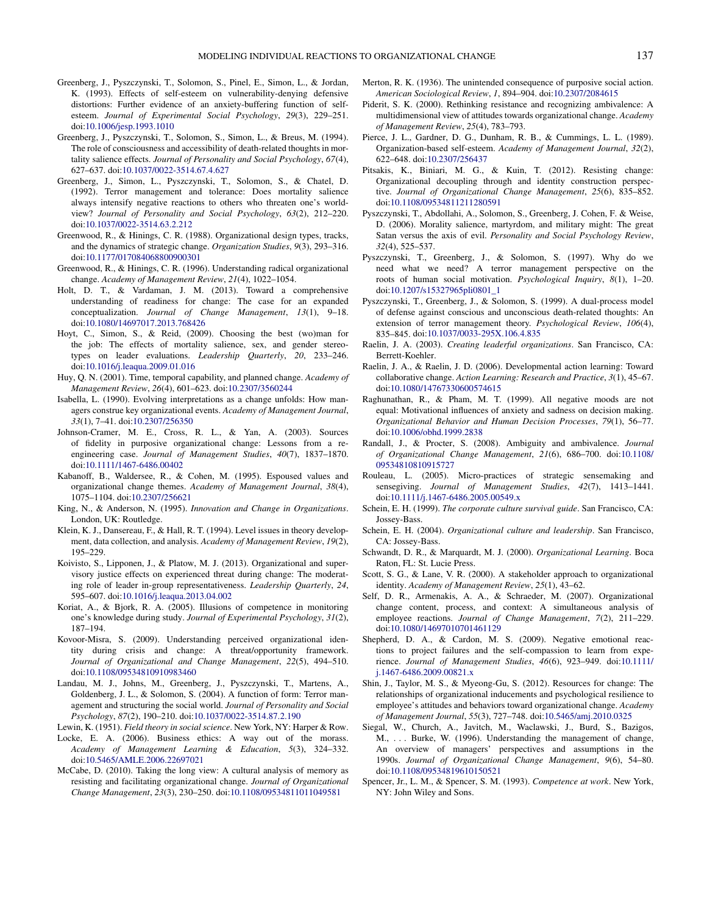- <span id="page-13-16"></span>Greenberg, J., Pyszczynski, T., Solomon, S., Pinel, E., Simon, L., & Jordan, K. (1993). Effects of self-esteem on vulnerability-denying defensive distortions: Further evidence of an anxiety-buffering function of selfesteem. *Journal of Experimental Social Psychology*, *29*(3), 229–251. doi[:10.1006/jesp.1993.1010](http://dx.doi.org/10.1006/jesp.1993.1010)
- <span id="page-13-13"></span>Greenberg, J., Pyszczynski, T., Solomon, S., Simon, L., & Breus, M. (1994). The role of consciousness and accessibility of death-related thoughts in mortality salience effects. *Journal of Personality and Social Psychology*, *67*(4), 627–637. doi[:10.1037/0022-3514.67.4.627](http://dx.doi.org/10.1037/0022-3514.67.4.627)
- <span id="page-13-17"></span>Greenberg, J., Simon, L., Pyszczynski, T., Solomon, S., & Chatel, D. (1992). Terror management and tolerance: Does mortality salience always intensify negative reactions to others who threaten one's worldview? *Journal of Personality and Social Psychology*, *63*(2), 212–220. doi[:10.1037/0022-3514.63.2.212](http://dx.doi.org/10.1037/0022-3514.63.2.212)
- <span id="page-13-32"></span>Greenwood, R., & Hinings, C. R. (1988). Organizational design types, tracks, and the dynamics of strategic change. *Organization Studies*, *9*(3), 293–316. doi[:10.1177/017084068800900301](http://dx.doi.org/10.1177/017084068800900301)
- <span id="page-13-3"></span>Greenwood, R., & Hinings, C. R. (1996). Understanding radical organizational change. *Academy of Management Review*, *21*(4), 1022–1054.
- <span id="page-13-21"></span>Holt, D. T., & Vardaman, J. M. (2013). Toward a comprehensive understanding of readiness for change: The case for an expanded conceptualization. *Journal of Change Management*, *13*(1), 9–18. doi[:10.1080/14697017.2013.768426](http://dx.doi.org/10.1080/14697017.2013.768426)
- <span id="page-13-18"></span>Hoyt, C., Simon, S., & Reid, (2009). Choosing the best (wo)man for the job: The effects of mortality salience, sex, and gender stereotypes on leader evaluations. *Leadership Quarterly*, *20*, 233–246. doi[:10.1016/j.leaqua.2009.01.016](http://dx.doi.org/10.1016/j.leaqua.2009.01.016)
- <span id="page-13-5"></span>Huy, Q. N. (2001). Time, temporal capability, and planned change. *Academy of Management Review*, *26*(4), 601–623. doi[:10.2307/3560244](http://dx.doi.org/10.2307/3560244)
- <span id="page-13-4"></span>Isabella, L. (1990). Evolving interpretations as a change unfolds: How managers construe key organizational events. *Academy of Management Journal*, *33*(1), 7–41. doi[:10.2307/256350](http://dx.doi.org/10.2307/256350)
- <span id="page-13-2"></span>Johnson-Cramer, M. E., Cross, R. L., & Yan, A. (2003). Sources of fidelity in purposive organizational change: Lessons from a reengineering case. *Journal of Management Studies*, *40*(7), 1837–1870. doi[:10.1111/1467-6486.00402](http://dx.doi.org/10.1111/1467-6486.00402)
- <span id="page-13-1"></span>Kabanoff, B., Waldersee, R., & Cohen, M. (1995). Espoused values and organizational change themes. *Academy of Management Journal*, *38*(4), 1075–1104. doi[:10.2307/256621](http://dx.doi.org/10.2307/256621)
- <span id="page-13-10"></span>King, N., & Anderson, N. (1995). *Innovation and Change in Organizations*. London, UK: Routledge.
- <span id="page-13-7"></span>Klein, K. J., Dansereau, F., & Hall, R. T. (1994). Level issues in theory development, data collection, and analysis. *Academy of Management Review*, *19*(2), 195–229.
- <span id="page-13-26"></span>Koivisto, S., Lipponen, J., & Platow, M. J. (2013). Organizational and supervisory justice effects on experienced threat during change: The moderating role of leader in-group representativeness. *Leadership Quarterly*, *24*, 595–607. doi[:10.1016/j.leaqua.2013.04.002](http://dx.doi.org/10.1016/j.leaqua.2013.04.002)
- <span id="page-13-29"></span>Koriat, A., & Bjork, R. A. (2005). Illusions of competence in monitoring one's knowledge during study. *Journal of Experimental Psychology*, *31*(2), 187–194.
- <span id="page-13-11"></span>Kovoor-Misra, S. (2009). Understanding perceived organizational identity during crisis and change: A threat/opportunity framework. *Journal of Organizational and Change Management*, *22*(5), 494–510. doi[:10.1108/09534810910983460](http://dx.doi.org/10.1108/09534810910983460)
- <span id="page-13-14"></span>Landau, M. J., Johns, M., Greenberg, J., Pyszczynski, T., Martens, A., Goldenberg, J. L., & Solomon, S. (2004). A function of form: Terror management and structuring the social world. *Journal of Personality and Social Psychology*, *87*(2), 190–210. doi[:10.1037/0022-3514.87.2.190](http://dx.doi.org/10.1037/0022-3514.87.2.190)
- <span id="page-13-23"></span>Lewin, K. (1951). *Field theory in social science*. New York, NY: Harper & Row.
- <span id="page-13-38"></span>Locke, E. A. (2006). Business ethics: A way out of the morass. *Academy of Management Learning & Education*, *5*(3), 324–332. doi[:10.5465/AMLE.2006.22697021](http://dx.doi.org/10.5465/AMLE.2006.22697021)
- <span id="page-13-33"></span>McCabe, D. (2010). Taking the long view: A cultural analysis of memory as resisting and facilitating organizational change. *Journal of Organizational Change Management*, *23*(3), 230–250. doi[:10.1108/09534811011049581](http://dx.doi.org/10.1108/09534811011049581)
- <span id="page-13-37"></span>Merton, R. K. (1936). The unintended consequence of purposive social action. *American Sociological Review*, *1*, 894–904. doi[:10.2307/2084615](http://dx.doi.org/10.2307/2084615)
- <span id="page-13-9"></span>Piderit, S. K. (2000). Rethinking resistance and recognizing ambivalence: A multidimensional view of attitudes towards organizational change. *Academy of Management Review*, *25*(4), 783–793.
- <span id="page-13-30"></span>Pierce, J. L., Gardner, D. G., Dunham, R. B., & Cummings, L. L. (1989). Organization-based self-esteem. *Academy of Management Journal*, *32*(2), 622–648. doi[:10.2307/256437](http://dx.doi.org/10.2307/256437)
- <span id="page-13-34"></span>Pitsakis, K., Biniari, M. G., & Kuin, T. (2012). Resisting change: Organizational decoupling through and identity construction perspective. *Journal of Organizational Change Management*, *25*(6), 835–852. doi[:10.1108/09534811211280591](http://dx.doi.org/10.1108/09534811211280591)
- <span id="page-13-19"></span>Pyszczynski, T., Abdollahi, A., Solomon, S., Greenberg, J. Cohen, F. & Weise, D. (2006). Morality salience, martyrdom, and military might: The great Satan versus the axis of evil. *Personality and Social Psychology Review*, *32*(4), 525–537.
- <span id="page-13-15"></span>Pyszczynski, T., Greenberg, J., & Solomon, S. (1997). Why do we need what we need? A terror management perspective on the roots of human social motivation. *Psychological Inquiry*, *8*(1), 1–20. doi[:10.1207/s15327965pli0801\\_1](http://dx.doi.org/10.1207/s15327965pli0801\gdef yes{no}_\gdef \ {_}\gdef no{no}\gdef yes{yes}\gdef \ \gdef \ {\ }\gdef no{no}\gdef yes{yes}{_\gdef \ {_}\gdef no{no}\gdef yes{yes}}1)
- <span id="page-13-20"></span>Pyszczynski, T., Greenberg, J., & Solomon, S. (1999). A dual-process model of defense against conscious and unconscious death-related thoughts: An extension of terror management theory. *Psychological Review*, *106*(4), 835–845. doi[:10.1037/0033-295X.106.4.835](http://dx.doi.org/10.1037/0033-295X.106.4.835)
- <span id="page-13-36"></span>Raelin, J. A. (2003). *Creating leaderful organizations*. San Francisco, CA: Berrett-Koehler.
- <span id="page-13-40"></span>Raelin, J. A., & Raelin, J. D. (2006). Developmental action learning: Toward collaborative change. *Action Learning: Research and Practice*, *3*(1), 45–67. doi[:10.1080/14767330600574615](http://dx.doi.org/10.1080/14767330600574615)
- <span id="page-13-8"></span>Raghunathan, R., & Pham, M. T. (1999). All negative moods are not equal: Motivational influences of anxiety and sadness on decision making. *Organizational Behavior and Human Decision Processes*, *79*(1), 56–77. doi[:10.1006/obhd.1999.2838](http://dx.doi.org/10.1006/obhd.1999.2838)
- <span id="page-13-12"></span>Randall, J., & Procter, S. (2008). Ambiguity and ambivalence. *Journal of Organizational Change Management*, *21*[\(6\), 686–700. doi:](http://dx.doi.org/10.1108/\gdef yes{no}\penalty \z@ \gdef \ {\penalty \z@ }\gdef no{no}\gdef yes{yes}\gdef \ \gdef \ {\ }\gdef no{no}\gdef yes{yes}{\penalty \z@ \gdef \ {\penalty \z@ }\gdef no{no}\gdef yes{yes}}09534810810915727)[10.1108/](http://dx.doi.org/10.1108/09534810810915727) [09534810810915727](http://dx.doi.org/10.1108/09534810810915727)
- <span id="page-13-24"></span>Rouleau, L. (2005). Micro-practices of strategic sensemaking and sensegiving. *Journal of Management Studies*, *42*(7), 1413–1441. doi[:10.1111/j.1467-6486.2005.00549.x](http://dx.doi.org/10.1111/j.1467-6486.2005.00549.x)
- <span id="page-13-31"></span>Schein, E. H. (1999). *The corporate culture survival guide*. San Francisco, CA: Jossey-Bass.
- <span id="page-13-22"></span>Schein, E. H. (2004). *Organizational culture and leadership*. San Francisco, CA: Jossey-Bass.
- <span id="page-13-25"></span>Schwandt, D. R., & Marquardt, M. J. (2000). *Organizational Learning*. Boca Raton, FL: St. Lucie Press.
- <span id="page-13-35"></span>Scott, S. G., & Lane, V. R. (2000). A stakeholder approach to organizational identity. *Academy of Management Review*, *25*(1), 43–62.
- <span id="page-13-0"></span>Self, D. R., Armenakis, A. A., & Schraeder, M. (2007). Organizational change content, process, and context: A simultaneous analysis of employee reactions. *Journal of Change Management*, *7*(2), 211–229. doi[:10.1080/14697010701461129](http://dx.doi.org/10.1080/14697010701461129)
- <span id="page-13-27"></span>Shepherd, D. A., & Cardon, M. S. (2009). Negative emotional reactions to project failures and the self-compassion to learn from experience. *Journal of Management Studies*, *46*(6), 923–949. doi:[10.1111/](http://dx.doi.org/10.1111/j.1467-6486.2009.00821.x) [j.1467-6486.2009.00821.x](http://dx.doi.org/10.1111/j.1467-6486.2009.00821.x)
- <span id="page-13-6"></span>Shin, J., Taylor, M. S., & Myeong-Gu, S. (2012). Resources for change: The relationships of organizational inducements and psychological resilience to employee's attitudes and behaviors toward organizational change. *Academy of Management Journal*, *55*(3), 727–748. doi[:10.5465/amj.2010.0325](http://dx.doi.org/10.5465/amj.2010.0325)
- <span id="page-13-39"></span>Siegal, W., Church, A., Javitch, M., Waclawski, J., Burd, S., Bazigos, M., *...* Burke, W. (1996). Understanding the management of change, An overview of managers' perspectives and assumptions in the 1990s. *Journal of Organizational Change Management*, *9*(6), 54–80. doi[:10.1108/09534819610150521](http://dx.doi.org/10.1108/09534819610150521)
- <span id="page-13-28"></span>Spencer, Jr., L. M., & Spencer, S. M. (1993). *Competence at work*. New York, NY: John Wiley and Sons.